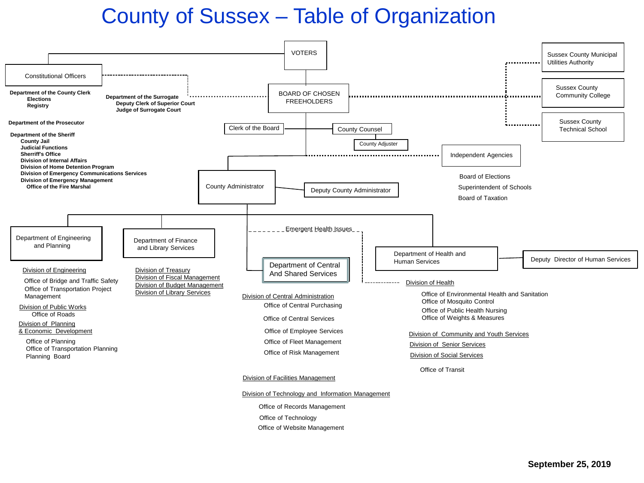# County of Sussex – Table of Organization

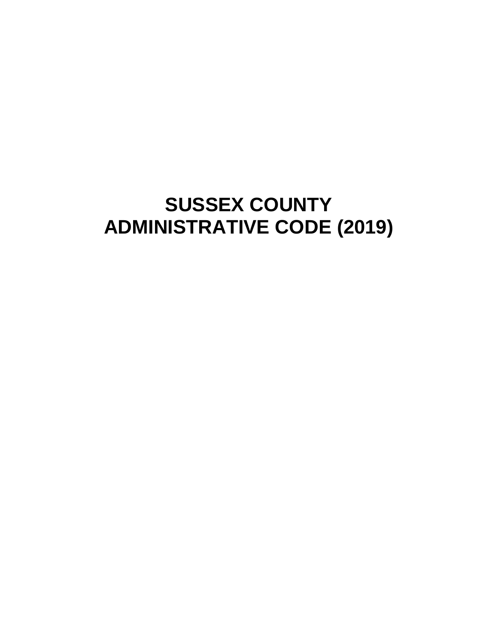# **SUSSEX COUNTY ADMINISTRATIVE CODE (2019)**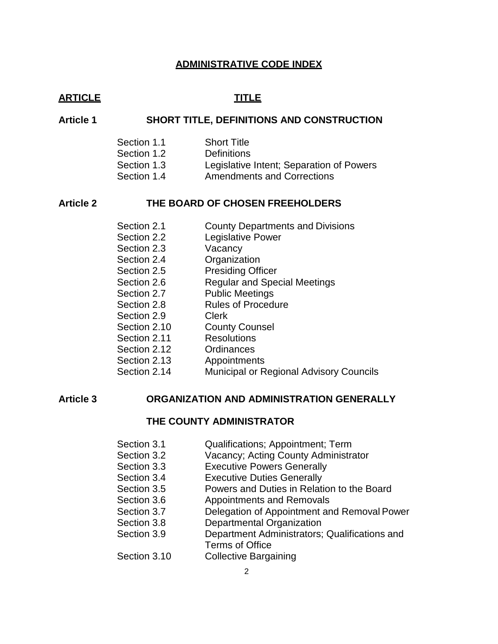# **ADMINISTRATIVE CODE INDEX**

# **ARTICLE TITLE**

# **Article 1 SHORT TITLE, DEFINITIONS AND CONSTRUCTION**

- Section 1.1 Short Title
- Section 1.2 Definitions
- Section 1.3 Legislative Intent; Separation of Powers
- Section 1.4 Amendments and Corrections

#### **Article 2 THE BOARD OF CHOSEN FREEHOLDERS**

- Section 2.1 County Departments and Divisions
- Section 2.2 Legislative Power
- Section 2.3 Vacancy
- Section 2.4 **Organization**
- Section 2.5 **Presiding Officer**
- Section 2.6 Regular and Special Meetings
- Section 2.7 Public Meetings
- Section 2.8 Rules of Procedure
- Section 2.9 Clerk
- Section 2.10 County Counsel
- Section 2.11 Resolutions
- Section 2.12 Ordinances
- Section 2.13 Appointments
- Section 2.14 Municipal or Regional Advisory Councils

# **Article 3 ORGANIZATION AND ADMINISTRATION GENERALLY**

### **THE COUNTY ADMINISTRATOR**

- Section 3.1 Qualifications; Appointment; Term
- Section 3.2 Vacancy; Acting County Administrator
- Section 3.3 Executive Powers Generally
- Section 3.4 Executive Duties Generally
- Section 3.5 Powers and Duties in Relation to the Board
- Section 3.6 **Appointments and Removals**
- Section 3.7 Delegation of Appointment and Removal Power
- Section 3.8 Departmental Organization
- Section 3.9 Department Administrators; Qualifications and Terms of Office
- Section 3.10 Collective Bargaining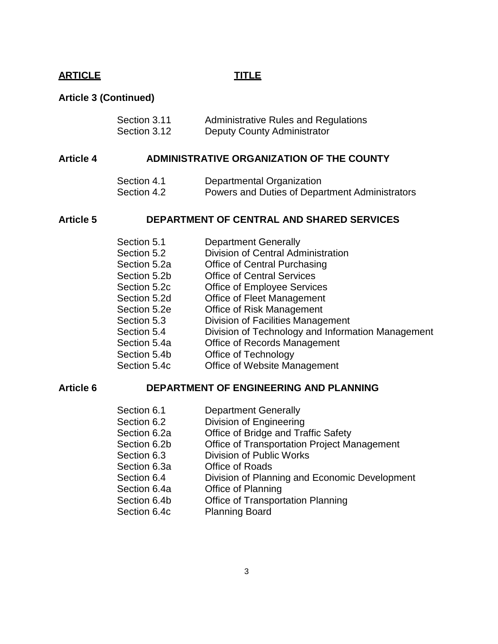# **ARTICLE TITLE**

#### **Article 3 (Continued)**

Section 3.11 Administrative Rules and Regulations Section 3.12 Deputy County Administrator

#### **Article 4 ADMINISTRATIVE ORGANIZATION OF THE COUNTY**

- Section 4.1 Departmental Organization
- Section 4.2 Powers and Duties of Department Administrators

# **Article 5 DEPARTMENT OF CENTRAL AND SHARED SERVICES**

- Section 5.1 Department Generally
- Section 5.2 Division of Central Administration
- Section 5.2a Office of Central Purchasing
- Section 5.2b Office of Central Services
- Section 5.2c Office of Employee Services
- Section 5.2d Office of Fleet Management
- Section 5.2e Office of Risk Management
- Section 5.3 Division of Facilities Management
- Section 5.4 Division of Technology and Information Management
- Section 5.4a Office of Records Management
- Section 5.4b **Office of Technology**
- Section 5.4c Office of Website Management

# **Article 6 DEPARTMENT OF ENGINEERING AND PLANNING**

- Section 6.1 **Department Generally**
- Section 6.2 Division of Engineering
- Section 6.2a Office of Bridge and Traffic Safety
- Section 6.2b Office of Transportation Project Management
- Section 6.3 Division of Public Works
- Section 6.3a Office of Roads
- Section 6.4 **Division of Planning and Economic Development**<br>Section 6.4a **Office of Planning**
- Office of Planning
- Section 6.4b Office of Transportation Planning
- Section 6.4c Planning Board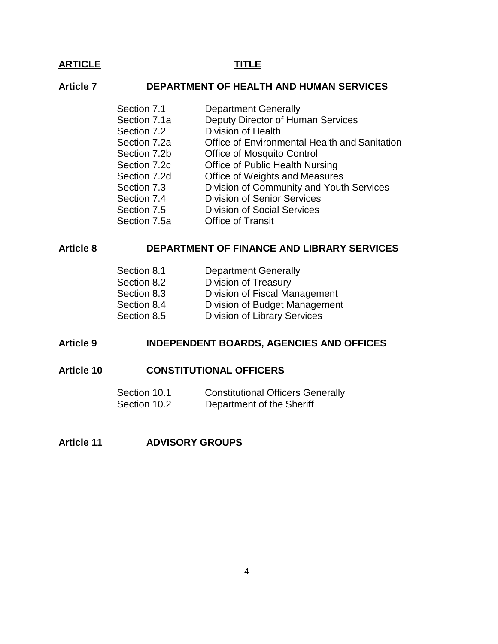# **ARTICLE TITLE**

# **Article 7 DEPARTMENT OF HEALTH AND HUMAN SERVICES**

- Section 7.1 Department Generally
- Section 7.1a Deputy Director of Human Services
- Section 7.2 Division of Health
- Section 7.2a Office of Environmental Health and Sanitation
- Section 7.2b Office of Mosquito Control
- Section 7.2c Office of Public Health Nursing
- Section 7.2d Office of Weights and Measures
- Section 7.3 Division of Community and Youth Services
- Section 7.4 Division of Senior Services
- Section 7.5 Division of Social Services
- Section 7.5a Office of Transit

#### **Article 8 DEPARTMENT OF FINANCE AND LIBRARY SERVICES**

- Section 8.1 Department Generally
- Section 8.2 Division of Treasury
- Section 8.3 Division of Fiscal Management
- Section 8.4 Division of Budget Management
- Section 8.5 Division of Library Services

#### **Article 9 INDEPENDENT BOARDS, AGENCIES AND OFFICES**

#### **Article 10 CONSTITUTIONAL OFFICERS**

| Section 10.1 | <b>Constitutional Officers Generally</b> |
|--------------|------------------------------------------|
| Section 10.2 | Department of the Sheriff                |

**Article 11 ADVISORY GROUPS**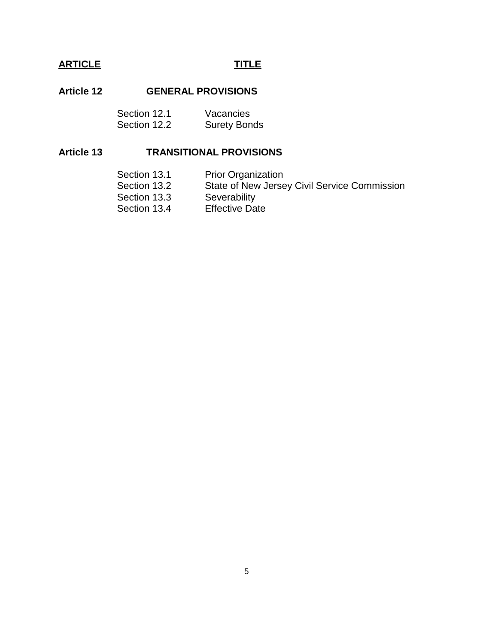# **ARTICLE TITLE**

# **Article 12 GENERAL PROVISIONS**

| Section 12.1 | Vacancies           |
|--------------|---------------------|
| Section 12.2 | <b>Surety Bonds</b> |

# **Article 13 TRANSITIONAL PROVISIONS**

- Section 13.1 Prior Organization
- Section 13.2 State of New Jersey Civil Service Commission
- Section 13.3 Severability<br>Section 13.4 Effective Dat
- Effective Date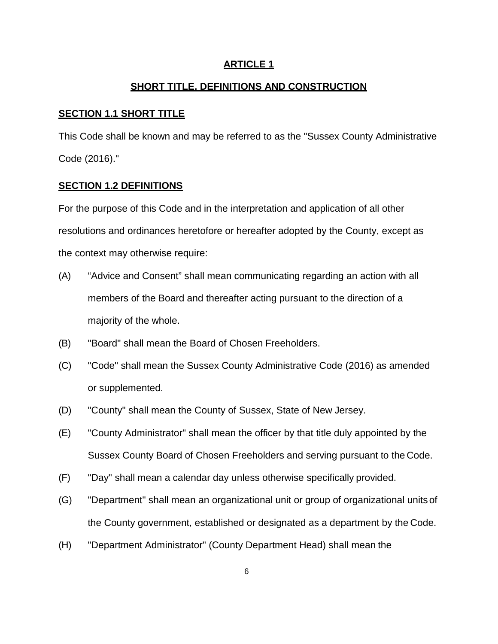# **ARTICLE 1**

# **SHORT TITLE, DEFINITIONS AND CONSTRUCTION**

#### **SECTION 1.1 SHORT TITLE**

This Code shall be known and may be referred to as the "Sussex County Administrative Code (2016)."

#### **SECTION 1.2 DEFINITIONS**

For the purpose of this Code and in the interpretation and application of all other resolutions and ordinances heretofore or hereafter adopted by the County, except as the context may otherwise require:

- (A) "Advice and Consent" shall mean communicating regarding an action with all members of the Board and thereafter acting pursuant to the direction of a majority of the whole.
- (B) "Board" shall mean the Board of Chosen Freeholders.
- (C) "Code" shall mean the Sussex County Administrative Code (2016) as amended or supplemented.
- (D) "County" shall mean the County of Sussex, State of New Jersey.
- (E) "County Administrator" shall mean the officer by that title duly appointed by the Sussex County Board of Chosen Freeholders and serving pursuant to the Code.
- (F) "Day" shall mean a calendar day unless otherwise specifically provided.
- (G) "Department" shall mean an organizational unit or group of organizational units of the County government, established or designated as a department by the Code.
- (H) "Department Administrator" (County Department Head) shall mean the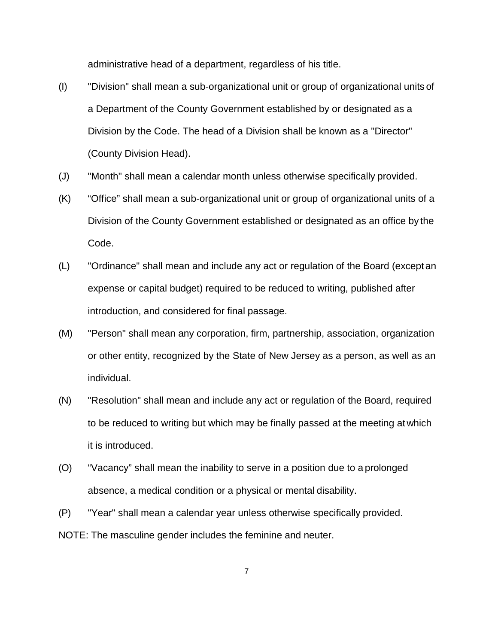administrative head of a department, regardless of his title.

- (I) "Division" shall mean a sub-organizational unit or group of organizational units of a Department of the County Government established by or designated as a Division by the Code. The head of a Division shall be known as a "Director" (County Division Head).
- (J) "Month" shall mean a calendar month unless otherwise specifically provided.
- (K) "Office" shall mean a sub-organizational unit or group of organizational units of a Division of the County Government established or designated as an office by the Code.
- (L) "Ordinance" shall mean and include any act or regulation of the Board (except an expense or capital budget) required to be reduced to writing, published after introduction, and considered for final passage.
- (M) "Person" shall mean any corporation, firm, partnership, association, organization or other entity, recognized by the State of New Jersey as a person, as well as an individual.
- (N) "Resolution" shall mean and include any act or regulation of the Board, required to be reduced to writing but which may be finally passed at the meeting at which it is introduced.
- (O) "Vacancy" shall mean the inability to serve in a position due to a prolonged absence, a medical condition or a physical or mental disability.
- (P) "Year" shall mean a calendar year unless otherwise specifically provided. NOTE: The masculine gender includes the feminine and neuter.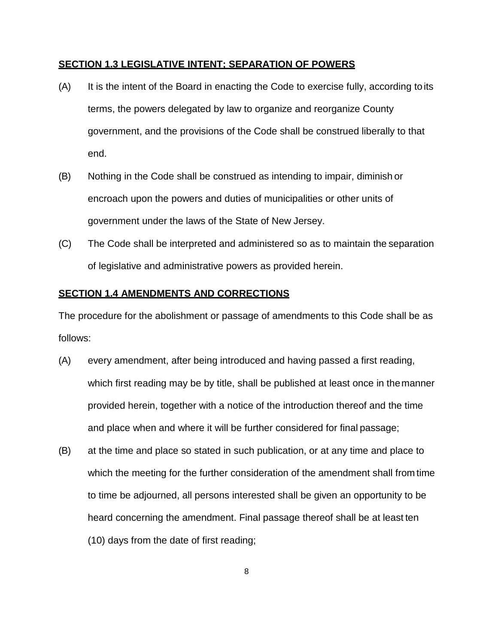#### **SECTION 1.3 LEGISLATIVE INTENT; SEPARATION OF POWERS**

- (A) It is the intent of the Board in enacting the Code to exercise fully, according toits terms, the powers delegated by law to organize and reorganize County government, and the provisions of the Code shall be construed liberally to that end.
- (B) Nothing in the Code shall be construed as intending to impair, diminish or encroach upon the powers and duties of municipalities or other units of government under the laws of the State of New Jersey.
- (C) The Code shall be interpreted and administered so as to maintain the separation of legislative and administrative powers as provided herein.

# **SECTION 1.4 AMENDMENTS AND CORRECTIONS**

The procedure for the abolishment or passage of amendments to this Code shall be as follows:

- (A) every amendment, after being introduced and having passed a first reading, which first reading may be by title, shall be published at least once in themanner provided herein, together with a notice of the introduction thereof and the time and place when and where it will be further considered for final passage;
- (B) at the time and place so stated in such publication, or at any time and place to which the meeting for the further consideration of the amendment shall from time to time be adjourned, all persons interested shall be given an opportunity to be heard concerning the amendment. Final passage thereof shall be at least ten (10) days from the date of first reading;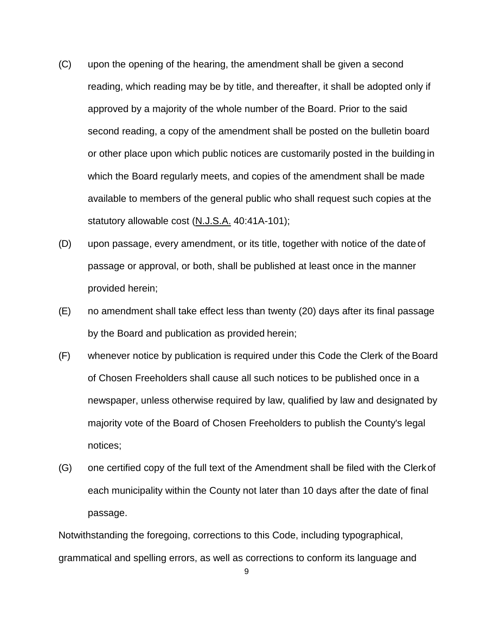- (C) upon the opening of the hearing, the amendment shall be given a second reading, which reading may be by title, and thereafter, it shall be adopted only if approved by a majority of the whole number of the Board. Prior to the said second reading, a copy of the amendment shall be posted on the bulletin board or other place upon which public notices are customarily posted in the building in which the Board regularly meets, and copies of the amendment shall be made available to members of the general public who shall request such copies at the statutory allowable cost (N.J.S.A. 40:41A-101);
- (D) upon passage, every amendment, or its title, together with notice of the dateof passage or approval, or both, shall be published at least once in the manner provided herein;
- (E) no amendment shall take effect less than twenty (20) days after its final passage by the Board and publication as provided herein;
- (F) whenever notice by publication is required under this Code the Clerk of the Board of Chosen Freeholders shall cause all such notices to be published once in a newspaper, unless otherwise required by law, qualified by law and designated by majority vote of the Board of Chosen Freeholders to publish the County's legal notices;
- (G) one certified copy of the full text of the Amendment shall be filed with the Clerkof each municipality within the County not later than 10 days after the date of final passage.

Notwithstanding the foregoing, corrections to this Code, including typographical, grammatical and spelling errors, as well as corrections to conform its language and

9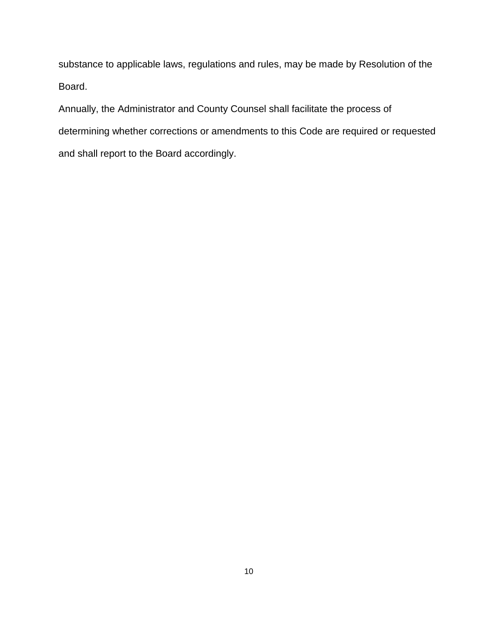substance to applicable laws, regulations and rules, may be made by Resolution of the Board.

Annually, the Administrator and County Counsel shall facilitate the process of determining whether corrections or amendments to this Code are required or requested and shall report to the Board accordingly.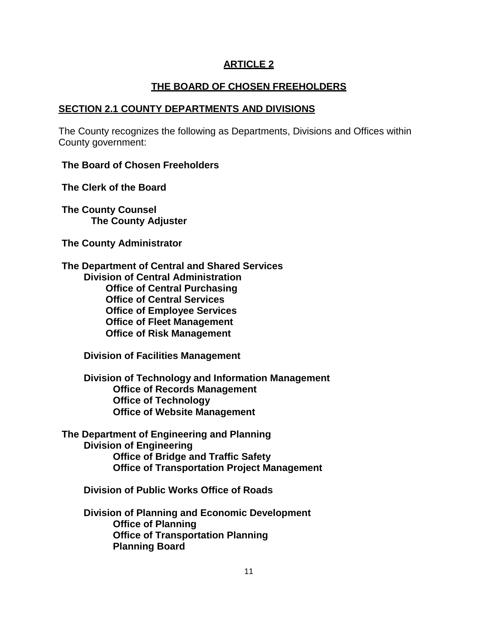# **ARTICLE 2**

# **THE BOARD OF CHOSEN FREEHOLDERS**

# **SECTION 2.1 COUNTY DEPARTMENTS AND DIVISIONS**

The County recognizes the following as Departments, Divisions and Offices within County government:

**The Board of Chosen Freeholders** 

**The Clerk of the Board**

**The County Counsel The County Adjuster**

**The County Administrator**

**The Department of Central and Shared Services Division of Central Administration Office of Central Purchasing Office of Central Services Office of Employee Services Office of Fleet Management Office of Risk Management**

**Division of Facilities Management**

**Division of Technology and Information Management Office of Records Management Office of Technology Office of Website Management**

**The Department of Engineering and Planning Division of Engineering Office of Bridge and Traffic Safety Office of Transportation Project Management**

**Division of Public Works Office of Roads**

**Division of Planning and Economic Development Office of Planning Office of Transportation Planning Planning Board**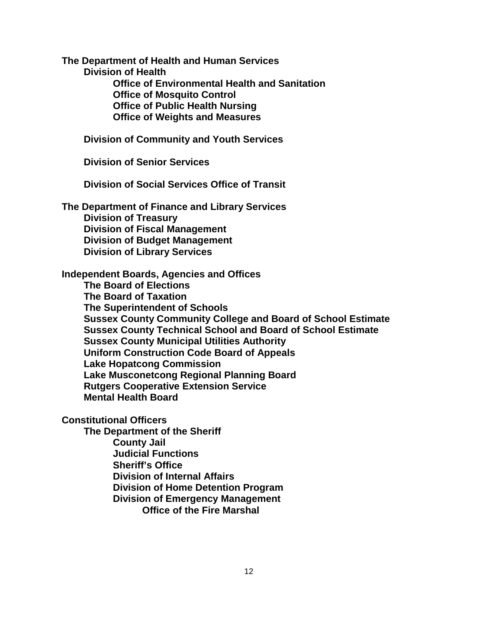**The Department of Health and Human Services Division of Health Office of Environmental Health and Sanitation Office of Mosquito Control Office of Public Health Nursing Office of Weights and Measures**

**Division of Community and Youth Services**

**Division of Senior Services**

**Division of Social Services Office of Transit**

**The Department of Finance and Library Services Division of Treasury Division of Fiscal Management Division of Budget Management Division of Library Services** 

**Independent Boards, Agencies and Offices**

**The Board of Elections The Board of Taxation The Superintendent of Schools Sussex County Community College and Board of School Estimate Sussex County Technical School and Board of School Estimate Sussex County Municipal Utilities Authority Uniform Construction Code Board of Appeals Lake Hopatcong Commission Lake Musconetcong Regional Planning Board Rutgers Cooperative Extension Service Mental Health Board**

**Constitutional Officers**

**The Department of the Sheriff County Jail Judicial Functions Sheriff's Office Division of Internal Affairs Division of Home Detention Program Division of Emergency Management Office of the Fire Marshal**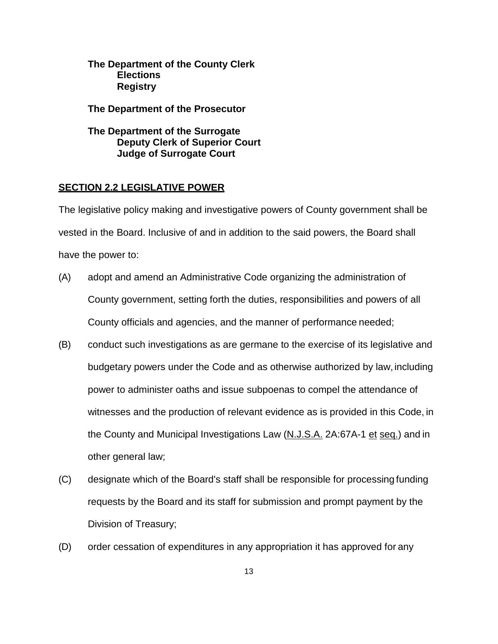**The Department of the County Clerk Elections Registry**

**The Department of the Prosecutor** 

**The Department of the Surrogate Deputy Clerk of Superior Court Judge of Surrogate Court**

#### **SECTION 2.2 LEGISLATIVE POWER**

The legislative policy making and investigative powers of County government shall be vested in the Board. Inclusive of and in addition to the said powers, the Board shall have the power to:

- (A) adopt and amend an Administrative Code organizing the administration of County government, setting forth the duties, responsibilities and powers of all County officials and agencies, and the manner of performance needed;
- (B) conduct such investigations as are germane to the exercise of its legislative and budgetary powers under the Code and as otherwise authorized by law, including power to administer oaths and issue subpoenas to compel the attendance of witnesses and the production of relevant evidence as is provided in this Code, in the County and Municipal Investigations Law (N.J.S.A. 2A:67A-1 et seq.) and in other general law;
- (C) designate which of the Board's staff shall be responsible for processing funding requests by the Board and its staff for submission and prompt payment by the Division of Treasury;
- (D) order cessation of expenditures in any appropriation it has approved for any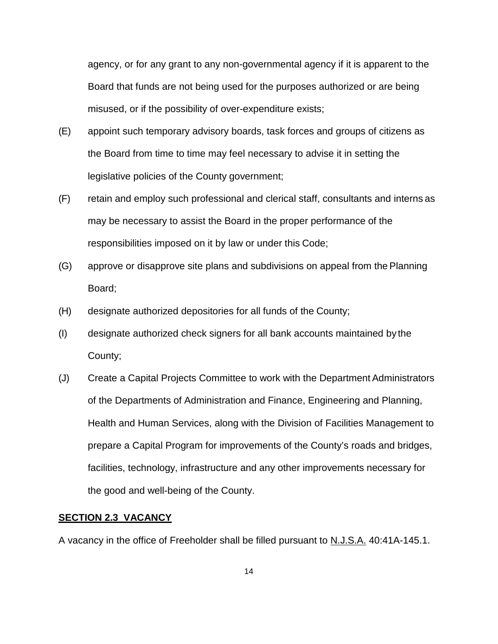agency, or for any grant to any non-governmental agency if it is apparent to the Board that funds are not being used for the purposes authorized or are being misused, or if the possibility of over-expenditure exists;

- (E) appoint such temporary advisory boards, task forces and groups of citizens as the Board from time to time may feel necessary to advise it in setting the legislative policies of the County government;
- (F) retain and employ such professional and clerical staff, consultants and interns as may be necessary to assist the Board in the proper performance of the responsibilities imposed on it by law or under this Code;
- (G) approve or disapprove site plans and subdivisions on appeal from thePlanning Board;
- (H) designate authorized depositories for all funds of the County;
- (I) designate authorized check signers for all bank accounts maintained by the County;
- (J) Create a Capital Projects Committee to work with the Department Administrators of the Departments of Administration and Finance, Engineering and Planning, Health and Human Services, along with the Division of Facilities Management to prepare a Capital Program for improvements of the County's roads and bridges, facilities, technology, infrastructure and any other improvements necessary for the good and well-being of the County.

#### **SECTION 2.3 VACANCY**

A vacancy in the office of Freeholder shall be filled pursuant to N.J.S.A. 40:41A-145.1.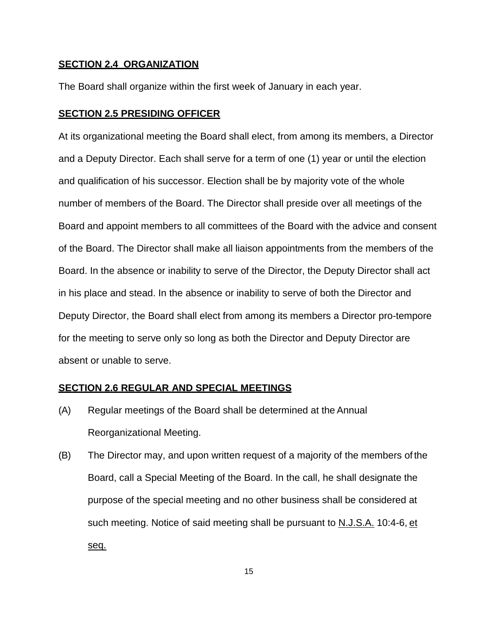#### **SECTION 2.4 ORGANIZATION**

The Board shall organize within the first week of January in each year.

#### **SECTION 2.5 PRESIDING OFFICER**

At its organizational meeting the Board shall elect, from among its members, a Director and a Deputy Director. Each shall serve for a term of one (1) year or until the election and qualification of his successor. Election shall be by majority vote of the whole number of members of the Board. The Director shall preside over all meetings of the Board and appoint members to all committees of the Board with the advice and consent of the Board. The Director shall make all liaison appointments from the members of the Board. In the absence or inability to serve of the Director, the Deputy Director shall act in his place and stead. In the absence or inability to serve of both the Director and Deputy Director, the Board shall elect from among its members a Director pro-tempore for the meeting to serve only so long as both the Director and Deputy Director are absent or unable to serve.

#### **SECTION 2.6 REGULAR AND SPECIAL MEETINGS**

- (A) Regular meetings of the Board shall be determined at the Annual Reorganizational Meeting.
- (B) The Director may, and upon written request of a majority of the members of the Board, call a Special Meeting of the Board. In the call, he shall designate the purpose of the special meeting and no other business shall be considered at such meeting. Notice of said meeting shall be pursuant to N.J.S.A. 10:4-6, et seq.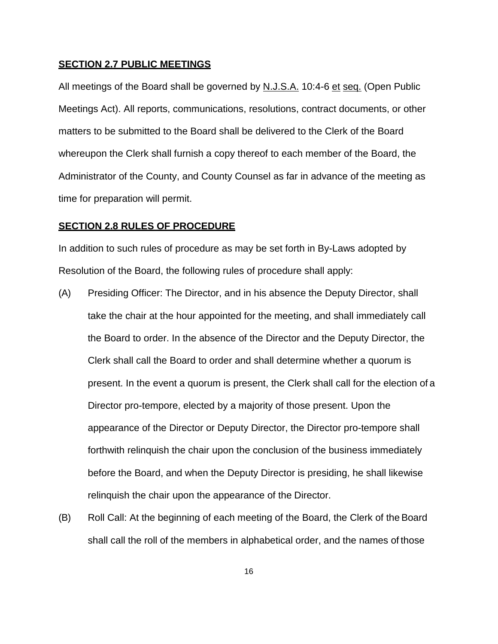#### **SECTION 2.7 PUBLIC MEETINGS**

All meetings of the Board shall be governed by N.J.S.A. 10:4-6 et seq. (Open Public Meetings Act). All reports, communications, resolutions, contract documents, or other matters to be submitted to the Board shall be delivered to the Clerk of the Board whereupon the Clerk shall furnish a copy thereof to each member of the Board, the Administrator of the County, and County Counsel as far in advance of the meeting as time for preparation will permit.

#### **SECTION 2.8 RULES OF PROCEDURE**

In addition to such rules of procedure as may be set forth in By-Laws adopted by Resolution of the Board, the following rules of procedure shall apply:

- (A) Presiding Officer: The Director, and in his absence the Deputy Director, shall take the chair at the hour appointed for the meeting, and shall immediately call the Board to order. In the absence of the Director and the Deputy Director, the Clerk shall call the Board to order and shall determine whether a quorum is present. In the event a quorum is present, the Clerk shall call for the election of a Director pro-tempore, elected by a majority of those present. Upon the appearance of the Director or Deputy Director, the Director pro-tempore shall forthwith relinquish the chair upon the conclusion of the business immediately before the Board, and when the Deputy Director is presiding, he shall likewise relinquish the chair upon the appearance of the Director.
- (B) Roll Call: At the beginning of each meeting of the Board, the Clerk of theBoard shall call the roll of the members in alphabetical order, and the names of those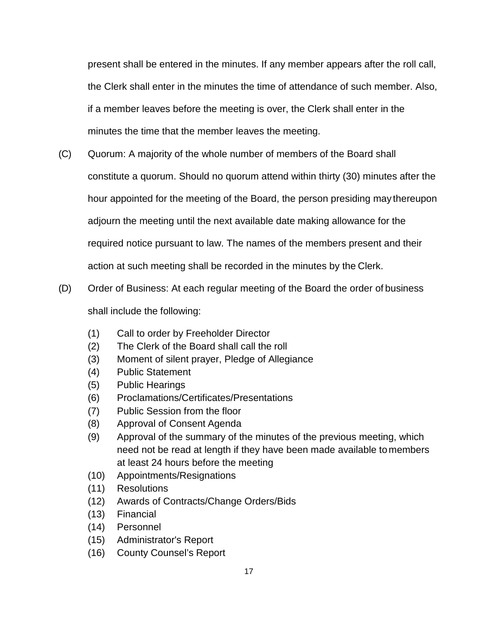present shall be entered in the minutes. If any member appears after the roll call, the Clerk shall enter in the minutes the time of attendance of such member. Also, if a member leaves before the meeting is over, the Clerk shall enter in the minutes the time that the member leaves the meeting.

- (C) Quorum: A majority of the whole number of members of the Board shall constitute a quorum. Should no quorum attend within thirty (30) minutes after the hour appointed for the meeting of the Board, the person presiding may thereupon adjourn the meeting until the next available date making allowance for the required notice pursuant to law. The names of the members present and their action at such meeting shall be recorded in the minutes by the Clerk.
- (D) Order of Business: At each regular meeting of the Board the order of business shall include the following:
	- (1) Call to order by Freeholder Director
	- (2) The Clerk of the Board shall call the roll
	- (3) Moment of silent prayer, Pledge of Allegiance
	- (4) Public Statement
	- (5) Public Hearings
	- (6) Proclamations/Certificates/Presentations
	- (7) Public Session from the floor
	- (8) Approval of Consent Agenda
	- (9) Approval of the summary of the minutes of the previous meeting, which need not be read at length if they have been made available to members at least 24 hours before the meeting
	- (10) Appointments/Resignations
	- (11) Resolutions
	- (12) Awards of Contracts/Change Orders/Bids
	- (13) Financial
	- (14) Personnel
	- (15) Administrator's Report
	- (16) County Counsel's Report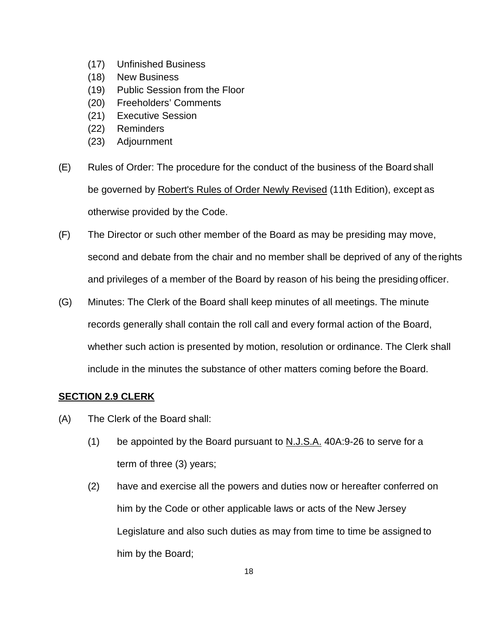- (17) Unfinished Business
- (18) New Business
- (19) Public Session from the Floor
- (20) Freeholders' Comments
- (21) Executive Session
- (22) Reminders
- (23) Adjournment
- (E) Rules of Order: The procedure for the conduct of the business of the Board shall be governed by Robert's Rules of Order Newly Revised (11th Edition), except as otherwise provided by the Code.
- (F) The Director or such other member of the Board as may be presiding may move, second and debate from the chair and no member shall be deprived of any of therights and privileges of a member of the Board by reason of his being the presiding officer.
- (G) Minutes: The Clerk of the Board shall keep minutes of all meetings. The minute records generally shall contain the roll call and every formal action of the Board, whether such action is presented by motion, resolution or ordinance. The Clerk shall include in the minutes the substance of other matters coming before the Board.

### **SECTION 2.9 CLERK**

- (A) The Clerk of the Board shall:
	- (1) be appointed by the Board pursuant to N.J.S.A. 40A:9-26 to serve for a term of three (3) years;
	- (2) have and exercise all the powers and duties now or hereafter conferred on him by the Code or other applicable laws or acts of the New Jersey Legislature and also such duties as may from time to time be assigned to him by the Board;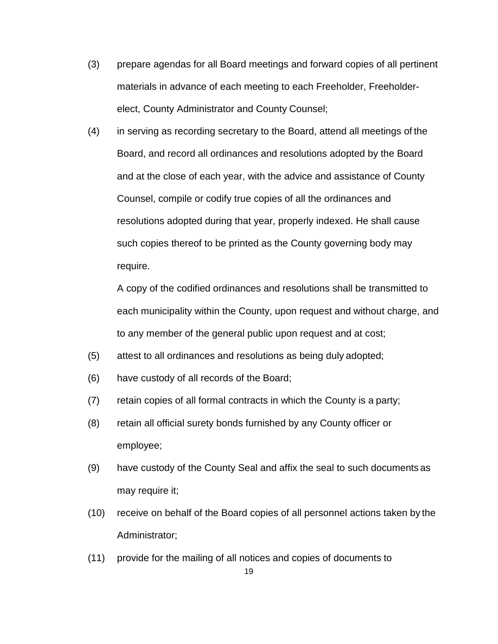- (3) prepare agendas for all Board meetings and forward copies of all pertinent materials in advance of each meeting to each Freeholder, Freeholderelect, County Administrator and County Counsel;
- (4) in serving as recording secretary to the Board, attend all meetings of the Board, and record all ordinances and resolutions adopted by the Board and at the close of each year, with the advice and assistance of County Counsel, compile or codify true copies of all the ordinances and resolutions adopted during that year, properly indexed. He shall cause such copies thereof to be printed as the County governing body may require.

A copy of the codified ordinances and resolutions shall be transmitted to each municipality within the County, upon request and without charge, and to any member of the general public upon request and at cost;

- (5) attest to all ordinances and resolutions as being duly adopted;
- (6) have custody of all records of the Board;
- (7) retain copies of all formal contracts in which the County is a party;
- (8) retain all official surety bonds furnished by any County officer or employee;
- (9) have custody of the County Seal and affix the seal to such documents as may require it;
- (10) receive on behalf of the Board copies of all personnel actions taken by the Administrator;
- (11) provide for the mailing of all notices and copies of documents to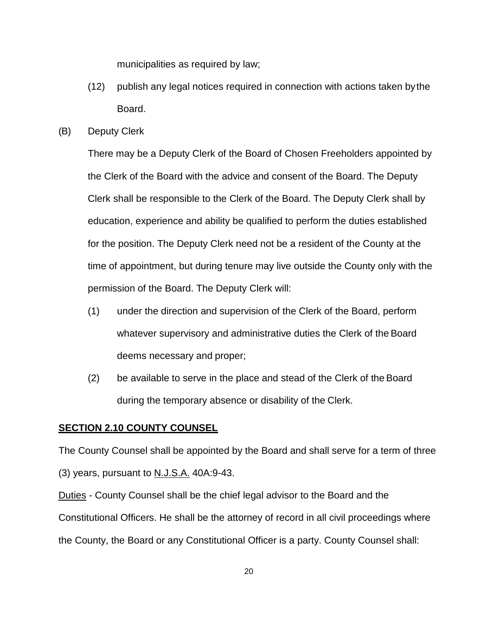municipalities as required by law;

- (12) publish any legal notices required in connection with actions taken bythe Board.
- (B) Deputy Clerk

There may be a Deputy Clerk of the Board of Chosen Freeholders appointed by the Clerk of the Board with the advice and consent of the Board. The Deputy Clerk shall be responsible to the Clerk of the Board. The Deputy Clerk shall by education, experience and ability be qualified to perform the duties established for the position. The Deputy Clerk need not be a resident of the County at the time of appointment, but during tenure may live outside the County only with the permission of the Board. The Deputy Clerk will:

- (1) under the direction and supervision of the Clerk of the Board, perform whatever supervisory and administrative duties the Clerk of the Board deems necessary and proper;
- (2) be available to serve in the place and stead of the Clerk of theBoard during the temporary absence or disability of the Clerk.

#### **SECTION 2.10 COUNTY COUNSEL**

The County Counsel shall be appointed by the Board and shall serve for a term of three

(3) years, pursuant to  $N.J.S.A.$  40A:9-43.

Duties - County Counsel shall be the chief legal advisor to the Board and the Constitutional Officers. He shall be the attorney of record in all civil proceedings where the County, the Board or any Constitutional Officer is a party. County Counsel shall: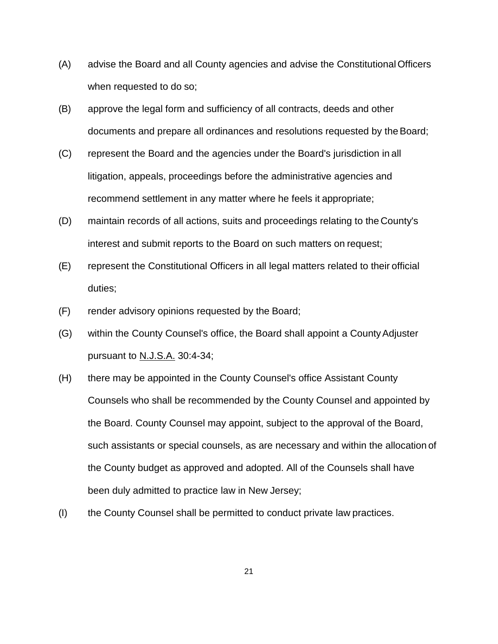- (A) advise the Board and all County agencies and advise the Constitutional Officers when requested to do so;
- (B) approve the legal form and sufficiency of all contracts, deeds and other documents and prepare all ordinances and resolutions requested by the Board;
- (C) represent the Board and the agencies under the Board's jurisdiction in all litigation, appeals, proceedings before the administrative agencies and recommend settlement in any matter where he feels it appropriate;
- (D) maintain records of all actions, suits and proceedings relating to the County's interest and submit reports to the Board on such matters on request;
- (E) represent the Constitutional Officers in all legal matters related to their official duties;
- (F) render advisory opinions requested by the Board;
- (G) within the County Counsel's office, the Board shall appoint a CountyAdjuster pursuant to N.J.S.A. 30:4-34;
- (H) there may be appointed in the County Counsel's office Assistant County Counsels who shall be recommended by the County Counsel and appointed by the Board. County Counsel may appoint, subject to the approval of the Board, such assistants or special counsels, as are necessary and within the allocation of the County budget as approved and adopted. All of the Counsels shall have been duly admitted to practice law in New Jersey;
- (I) the County Counsel shall be permitted to conduct private law practices.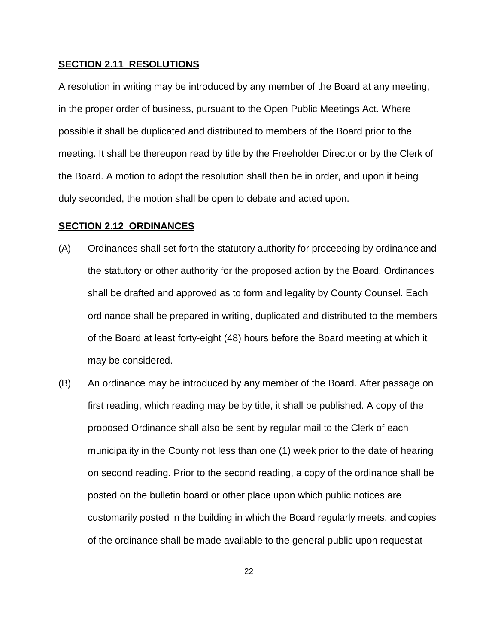#### **SECTION 2.11 RESOLUTIONS**

A resolution in writing may be introduced by any member of the Board at any meeting, in the proper order of business, pursuant to the Open Public Meetings Act. Where possible it shall be duplicated and distributed to members of the Board prior to the meeting. It shall be thereupon read by title by the Freeholder Director or by the Clerk of the Board. A motion to adopt the resolution shall then be in order, and upon it being duly seconded, the motion shall be open to debate and acted upon.

#### **SECTION 2.12 ORDINANCES**

- (A) Ordinances shall set forth the statutory authority for proceeding by ordinance and the statutory or other authority for the proposed action by the Board. Ordinances shall be drafted and approved as to form and legality by County Counsel. Each ordinance shall be prepared in writing, duplicated and distributed to the members of the Board at least forty-eight (48) hours before the Board meeting at which it may be considered.
- (B) An ordinance may be introduced by any member of the Board. After passage on first reading, which reading may be by title, it shall be published. A copy of the proposed Ordinance shall also be sent by regular mail to the Clerk of each municipality in the County not less than one (1) week prior to the date of hearing on second reading. Prior to the second reading, a copy of the ordinance shall be posted on the bulletin board or other place upon which public notices are customarily posted in the building in which the Board regularly meets, and copies of the ordinance shall be made available to the general public upon request at

22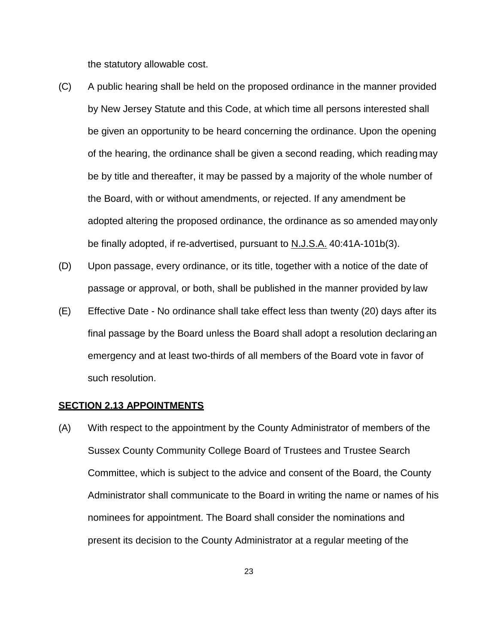the statutory allowable cost.

- (C) A public hearing shall be held on the proposed ordinance in the manner provided by New Jersey Statute and this Code, at which time all persons interested shall be given an opportunity to be heard concerning the ordinance. Upon the opening of the hearing, the ordinance shall be given a second reading, which reading may be by title and thereafter, it may be passed by a majority of the whole number of the Board, with or without amendments, or rejected. If any amendment be adopted altering the proposed ordinance, the ordinance as so amended mayonly be finally adopted, if re-advertised, pursuant to N.J.S.A. 40:41A-101b(3).
- (D) Upon passage, every ordinance, or its title, together with a notice of the date of passage or approval, or both, shall be published in the manner provided by law
- (E) Effective Date No ordinance shall take effect less than twenty (20) days after its final passage by the Board unless the Board shall adopt a resolution declaring an emergency and at least two-thirds of all members of the Board vote in favor of such resolution.

#### **SECTION 2.13 APPOINTMENTS**

(A) With respect to the appointment by the County Administrator of members of the Sussex County Community College Board of Trustees and Trustee Search Committee, which is subject to the advice and consent of the Board, the County Administrator shall communicate to the Board in writing the name or names of his nominees for appointment. The Board shall consider the nominations and present its decision to the County Administrator at a regular meeting of the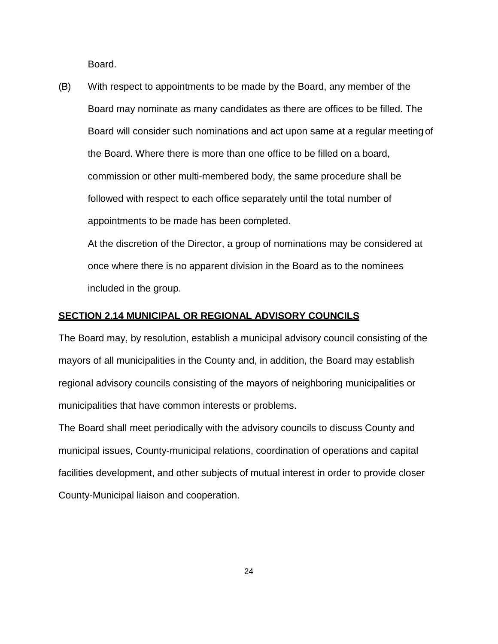Board.

(B) With respect to appointments to be made by the Board, any member of the Board may nominate as many candidates as there are offices to be filled. The Board will consider such nominations and act upon same at a regular meeting of the Board. Where there is more than one office to be filled on a board, commission or other multi-membered body, the same procedure shall be followed with respect to each office separately until the total number of appointments to be made has been completed.

At the discretion of the Director, a group of nominations may be considered at once where there is no apparent division in the Board as to the nominees included in the group.

#### **SECTION 2.14 MUNICIPAL OR REGIONAL ADVISORY COUNCILS**

The Board may, by resolution, establish a municipal advisory council consisting of the mayors of all municipalities in the County and, in addition, the Board may establish regional advisory councils consisting of the mayors of neighboring municipalities or municipalities that have common interests or problems.

The Board shall meet periodically with the advisory councils to discuss County and municipal issues, County-municipal relations, coordination of operations and capital facilities development, and other subjects of mutual interest in order to provide closer County-Municipal liaison and cooperation.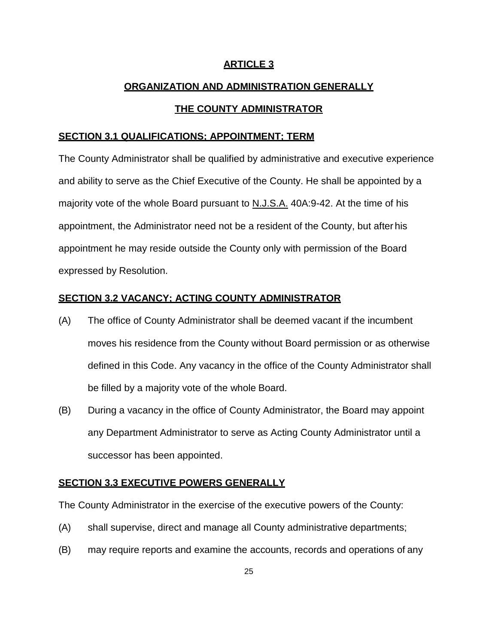# **ARTICLE 3**

# **ORGANIZATION AND ADMINISTRATION GENERALLY**

# **THE COUNTY ADMINISTRATOR**

#### **SECTION 3.1 QUALIFICATIONS; APPOINTMENT; TERM**

The County Administrator shall be qualified by administrative and executive experience and ability to serve as the Chief Executive of the County. He shall be appointed by a majority vote of the whole Board pursuant to N.J.S.A. 40A:9-42. At the time of his appointment, the Administrator need not be a resident of the County, but after his appointment he may reside outside the County only with permission of the Board expressed by Resolution.

#### **SECTION 3.2 VACANCY; ACTING COUNTY ADMINISTRATOR**

- (A) The office of County Administrator shall be deemed vacant if the incumbent moves his residence from the County without Board permission or as otherwise defined in this Code. Any vacancy in the office of the County Administrator shall be filled by a majority vote of the whole Board.
- (B) During a vacancy in the office of County Administrator, the Board may appoint any Department Administrator to serve as Acting County Administrator until a successor has been appointed.

#### **SECTION 3.3 EXECUTIVE POWERS GENERALLY**

The County Administrator in the exercise of the executive powers of the County:

- (A) shall supervise, direct and manage all County administrative departments;
- (B) may require reports and examine the accounts, records and operations of any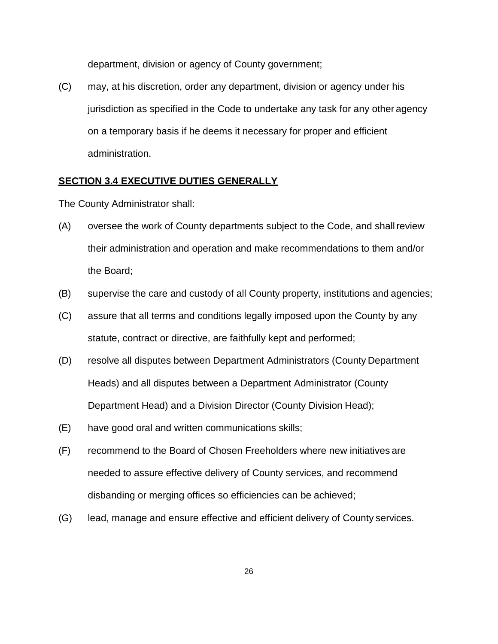department, division or agency of County government;

(C) may, at his discretion, order any department, division or agency under his jurisdiction as specified in the Code to undertake any task for any other agency on a temporary basis if he deems it necessary for proper and efficient administration.

#### **SECTION 3.4 EXECUTIVE DUTIES GENERALLY**

The County Administrator shall:

- (A) oversee the work of County departments subject to the Code, and shallreview their administration and operation and make recommendations to them and/or the Board;
- (B) supervise the care and custody of all County property, institutions and agencies;
- (C) assure that all terms and conditions legally imposed upon the County by any statute, contract or directive, are faithfully kept and performed;
- (D) resolve all disputes between Department Administrators (County Department Heads) and all disputes between a Department Administrator (County Department Head) and a Division Director (County Division Head);
- (E) have good oral and written communications skills;
- (F) recommend to the Board of Chosen Freeholders where new initiatives are needed to assure effective delivery of County services, and recommend disbanding or merging offices so efficiencies can be achieved;
- (G) lead, manage and ensure effective and efficient delivery of County services.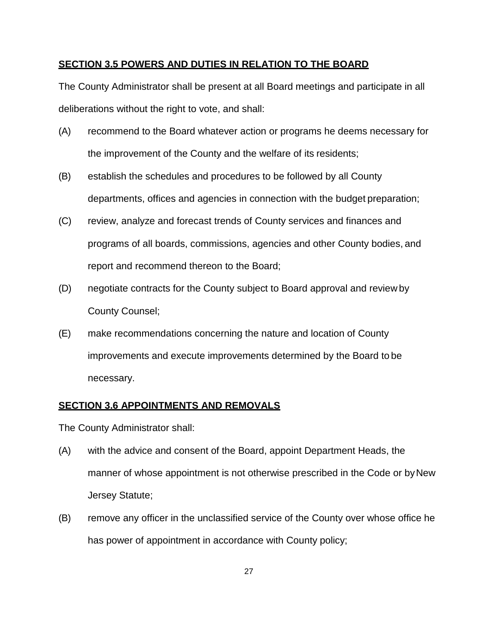# **SECTION 3.5 POWERS AND DUTIES IN RELATION TO THE BOARD**

The County Administrator shall be present at all Board meetings and participate in all deliberations without the right to vote, and shall:

- (A) recommend to the Board whatever action or programs he deems necessary for the improvement of the County and the welfare of its residents;
- (B) establish the schedules and procedures to be followed by all County departments, offices and agencies in connection with the budget preparation;
- (C) review, analyze and forecast trends of County services and finances and programs of all boards, commissions, agencies and other County bodies, and report and recommend thereon to the Board;
- (D) negotiate contracts for the County subject to Board approval and review by County Counsel;
- (E) make recommendations concerning the nature and location of County improvements and execute improvements determined by the Board to be necessary.

### **SECTION 3.6 APPOINTMENTS AND REMOVALS**

The County Administrator shall:

- (A) with the advice and consent of the Board, appoint Department Heads, the manner of whose appointment is not otherwise prescribed in the Code or by New Jersey Statute;
- (B) remove any officer in the unclassified service of the County over whose office he has power of appointment in accordance with County policy;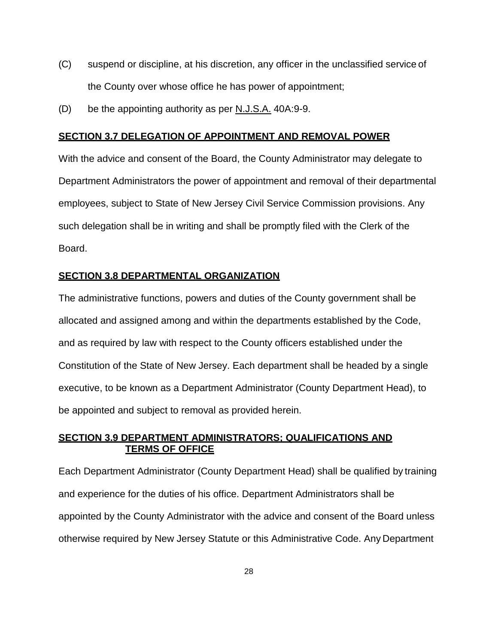- (C) suspend or discipline, at his discretion, any officer in the unclassified service of the County over whose office he has power of appointment;
- (D) be the appointing authority as per N.J.S.A. 40A:9-9.

#### **SECTION 3.7 DELEGATION OF APPOINTMENT AND REMOVAL POWER**

With the advice and consent of the Board, the County Administrator may delegate to Department Administrators the power of appointment and removal of their departmental employees, subject to State of New Jersey Civil Service Commission provisions. Any such delegation shall be in writing and shall be promptly filed with the Clerk of the Board.

#### **SECTION 3.8 DEPARTMENTAL ORGANIZATION**

The administrative functions, powers and duties of the County government shall be allocated and assigned among and within the departments established by the Code, and as required by law with respect to the County officers established under the Constitution of the State of New Jersey. Each department shall be headed by a single executive, to be known as a Department Administrator (County Department Head), to be appointed and subject to removal as provided herein.

# **SECTION 3.9 DEPARTMENT ADMINISTRATORS; QUALIFICATIONS AND TERMS OF OFFICE**

Each Department Administrator (County Department Head) shall be qualified by training and experience for the duties of his office. Department Administrators shall be appointed by the County Administrator with the advice and consent of the Board unless otherwise required by New Jersey Statute or this Administrative Code. Any Department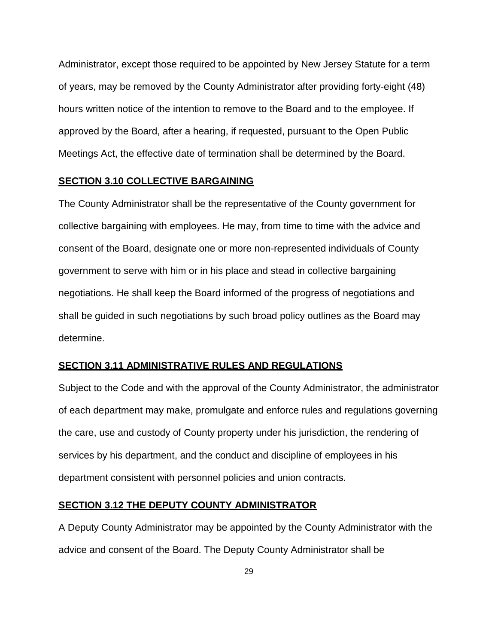Administrator, except those required to be appointed by New Jersey Statute for a term of years, may be removed by the County Administrator after providing forty-eight (48) hours written notice of the intention to remove to the Board and to the employee. If approved by the Board, after a hearing, if requested, pursuant to the Open Public Meetings Act, the effective date of termination shall be determined by the Board.

#### **SECTION 3.10 COLLECTIVE BARGAINING**

The County Administrator shall be the representative of the County government for collective bargaining with employees. He may, from time to time with the advice and consent of the Board, designate one or more non-represented individuals of County government to serve with him or in his place and stead in collective bargaining negotiations. He shall keep the Board informed of the progress of negotiations and shall be guided in such negotiations by such broad policy outlines as the Board may determine.

#### **SECTION 3.11 ADMINISTRATIVE RULES AND REGULATIONS**

Subject to the Code and with the approval of the County Administrator, the administrator of each department may make, promulgate and enforce rules and regulations governing the care, use and custody of County property under his jurisdiction, the rendering of services by his department, and the conduct and discipline of employees in his department consistent with personnel policies and union contracts.

#### **SECTION 3.12 THE DEPUTY COUNTY ADMINISTRATOR**

A Deputy County Administrator may be appointed by the County Administrator with the advice and consent of the Board. The Deputy County Administrator shall be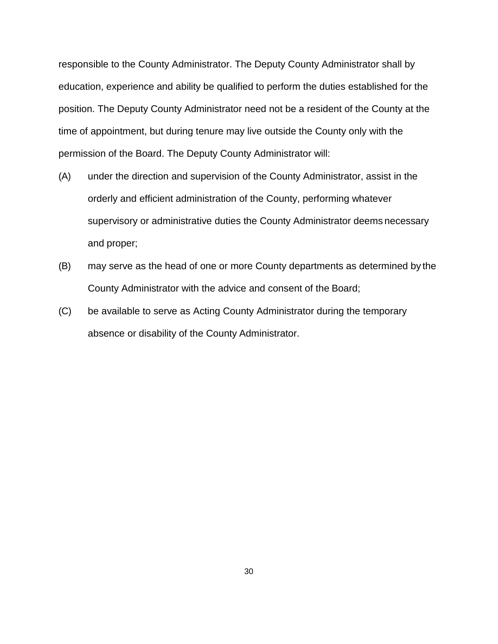responsible to the County Administrator. The Deputy County Administrator shall by education, experience and ability be qualified to perform the duties established for the position. The Deputy County Administrator need not be a resident of the County at the time of appointment, but during tenure may live outside the County only with the permission of the Board. The Deputy County Administrator will:

- (A) under the direction and supervision of the County Administrator, assist in the orderly and efficient administration of the County, performing whatever supervisory or administrative duties the County Administrator deems necessary and proper;
- (B) may serve as the head of one or more County departments as determined by the County Administrator with the advice and consent of the Board;
- (C) be available to serve as Acting County Administrator during the temporary absence or disability of the County Administrator.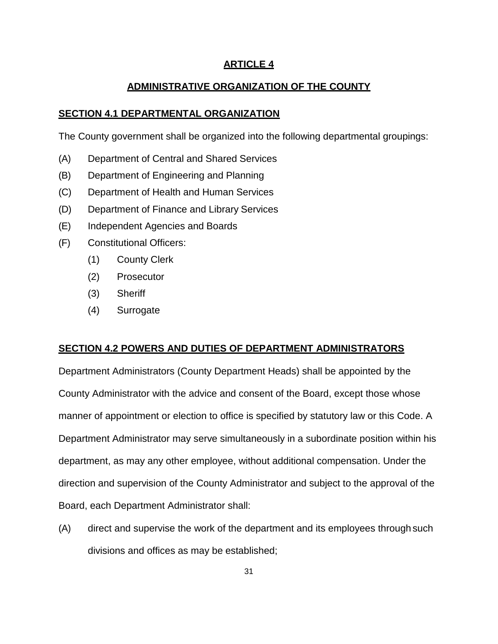# **ARTICLE 4**

# **ADMINISTRATIVE ORGANIZATION OF THE COUNTY**

# **SECTION 4.1 DEPARTMENTAL ORGANIZATION**

The County government shall be organized into the following departmental groupings:

- (A) Department of Central and Shared Services
- (B) Department of Engineering and Planning
- (C) Department of Health and Human Services
- (D) Department of Finance and Library Services
- (E) Independent Agencies and Boards
- (F) Constitutional Officers:
	- (1) County Clerk
	- (2) Prosecutor
	- (3) Sheriff
	- (4) Surrogate

# **SECTION 4.2 POWERS AND DUTIES OF DEPARTMENT ADMINISTRATORS**

Department Administrators (County Department Heads) shall be appointed by the County Administrator with the advice and consent of the Board, except those whose manner of appointment or election to office is specified by statutory law or this Code. A Department Administrator may serve simultaneously in a subordinate position within his department, as may any other employee, without additional compensation. Under the direction and supervision of the County Administrator and subject to the approval of the Board, each Department Administrator shall:

(A) direct and supervise the work of the department and its employees through such divisions and offices as may be established;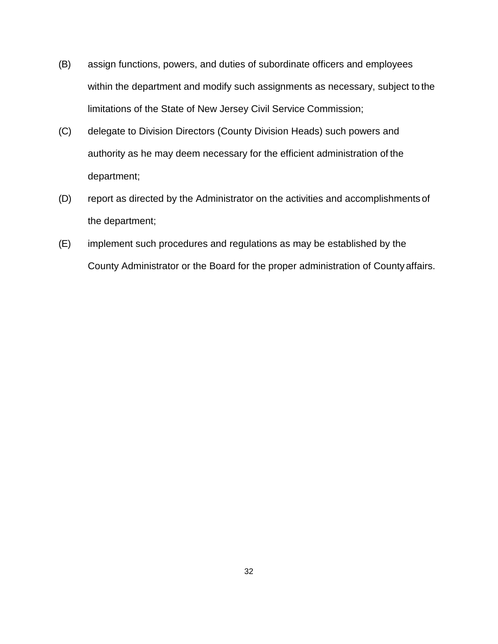- (B) assign functions, powers, and duties of subordinate officers and employees within the department and modify such assignments as necessary, subject to the limitations of the State of New Jersey Civil Service Commission;
- (C) delegate to Division Directors (County Division Heads) such powers and authority as he may deem necessary for the efficient administration of the department;
- (D) report as directed by the Administrator on the activities and accomplishments of the department;
- (E) implement such procedures and regulations as may be established by the County Administrator or the Board for the proper administration of County affairs.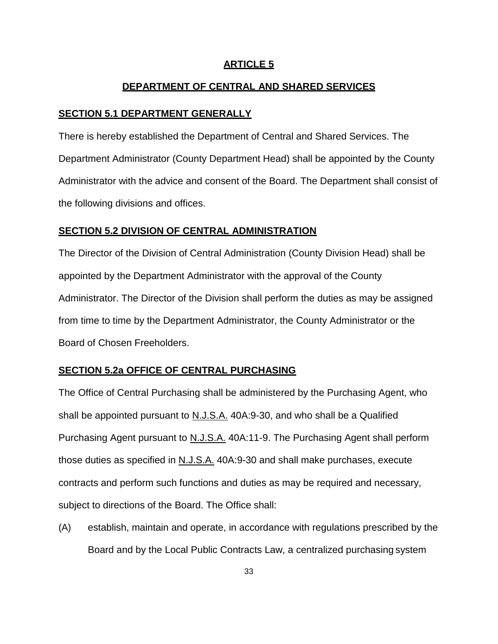### **ARTICLE 5**

### **DEPARTMENT OF CENTRAL AND SHARED SERVICES**

#### **SECTION 5.1 DEPARTMENT GENERALLY**

There is hereby established the Department of Central and Shared Services. The Department Administrator (County Department Head) shall be appointed by the County Administrator with the advice and consent of the Board. The Department shall consist of the following divisions and offices.

#### **SECTION 5.2 DIVISION OF CENTRAL ADMINISTRATION**

The Director of the Division of Central Administration (County Division Head) shall be appointed by the Department Administrator with the approval of the County Administrator. The Director of the Division shall perform the duties as may be assigned from time to time by the Department Administrator, the County Administrator or the Board of Chosen Freeholders.

#### **SECTION 5.2a OFFICE OF CENTRAL PURCHASING**

The Office of Central Purchasing shall be administered by the Purchasing Agent, who shall be appointed pursuant to N.J.S.A. 40A:9-30, and who shall be a Qualified Purchasing Agent pursuant to N.J.S.A. 40A:11-9. The Purchasing Agent shall perform those duties as specified in N.J.S.A. 40A:9-30 and shall make purchases, execute contracts and perform such functions and duties as may be required and necessary, subject to directions of the Board. The Office shall:

(A) establish, maintain and operate, in accordance with regulations prescribed by the Board and by the Local Public Contracts Law, a centralized purchasing system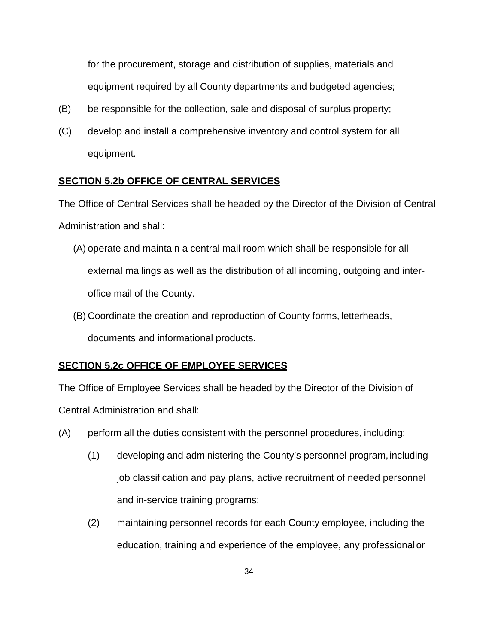for the procurement, storage and distribution of supplies, materials and equipment required by all County departments and budgeted agencies;

- (B) be responsible for the collection, sale and disposal of surplus property;
- (C) develop and install a comprehensive inventory and control system for all equipment.

# **SECTION 5.2b OFFICE OF CENTRAL SERVICES**

The Office of Central Services shall be headed by the Director of the Division of Central Administration and shall:

- (A) operate and maintain a central mail room which shall be responsible for all external mailings as well as the distribution of all incoming, outgoing and interoffice mail of the County.
- (B) Coordinate the creation and reproduction of County forms, letterheads, documents and informational products.

# **SECTION 5.2c OFFICE OF EMPLOYEE SERVICES**

The Office of Employee Services shall be headed by the Director of the Division of Central Administration and shall:

- (A) perform all the duties consistent with the personnel procedures, including:
	- (1) developing and administering the County's personnel program,including job classification and pay plans, active recruitment of needed personnel and in-service training programs;
	- (2) maintaining personnel records for each County employee, including the education, training and experience of the employee, any professionalor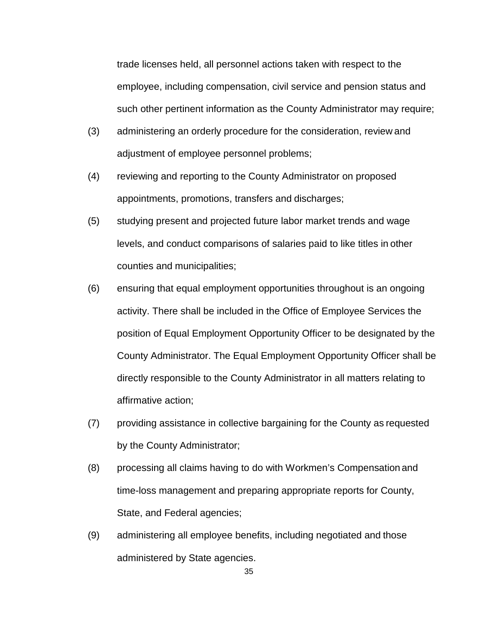trade licenses held, all personnel actions taken with respect to the employee, including compensation, civil service and pension status and such other pertinent information as the County Administrator may require;

- (3) administering an orderly procedure for the consideration, review and adjustment of employee personnel problems;
- (4) reviewing and reporting to the County Administrator on proposed appointments, promotions, transfers and discharges;
- (5) studying present and projected future labor market trends and wage levels, and conduct comparisons of salaries paid to like titles in other counties and municipalities;
- (6) ensuring that equal employment opportunities throughout is an ongoing activity. There shall be included in the Office of Employee Services the position of Equal Employment Opportunity Officer to be designated by the County Administrator. The Equal Employment Opportunity Officer shall be directly responsible to the County Administrator in all matters relating to affirmative action;
- (7) providing assistance in collective bargaining for the County as requested by the County Administrator;
- (8) processing all claims having to do with Workmen's Compensation and time-loss management and preparing appropriate reports for County, State, and Federal agencies;
- (9) administering all employee benefits, including negotiated and those administered by State agencies.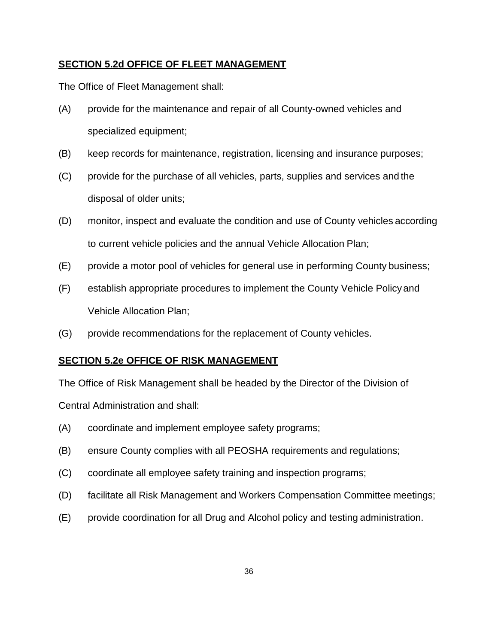## **SECTION 5.2d OFFICE OF FLEET MANAGEMENT**

The Office of Fleet Management shall:

- (A) provide for the maintenance and repair of all County-owned vehicles and specialized equipment;
- (B) keep records for maintenance, registration, licensing and insurance purposes;
- (C) provide for the purchase of all vehicles, parts, supplies and services and the disposal of older units;
- (D) monitor, inspect and evaluate the condition and use of County vehicles according to current vehicle policies and the annual Vehicle Allocation Plan;
- (E) provide a motor pool of vehicles for general use in performing County business;
- (F) establish appropriate procedures to implement the County Vehicle Policy and Vehicle Allocation Plan;
- (G) provide recommendations for the replacement of County vehicles.

#### **SECTION 5.2e OFFICE OF RISK MANAGEMENT**

The Office of Risk Management shall be headed by the Director of the Division of Central Administration and shall:

- (A) coordinate and implement employee safety programs;
- (B) ensure County complies with all PEOSHA requirements and regulations;
- (C) coordinate all employee safety training and inspection programs;
- (D) facilitate all Risk Management and Workers Compensation Committee meetings;
- (E) provide coordination for all Drug and Alcohol policy and testing administration.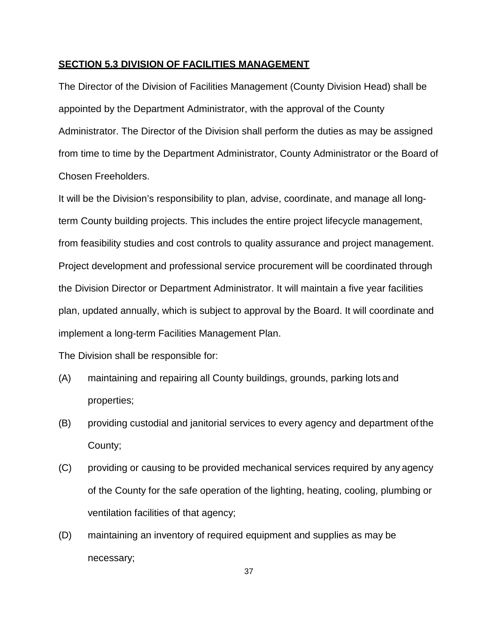## **SECTION 5.3 DIVISION OF FACILITIES MANAGEMENT**

The Director of the Division of Facilities Management (County Division Head) shall be appointed by the Department Administrator, with the approval of the County Administrator. The Director of the Division shall perform the duties as may be assigned from time to time by the Department Administrator, County Administrator or the Board of Chosen Freeholders.

It will be the Division's responsibility to plan, advise, coordinate, and manage all longterm County building projects. This includes the entire project lifecycle management, from feasibility studies and cost controls to quality assurance and project management. Project development and professional service procurement will be coordinated through the Division Director or Department Administrator. It will maintain a five year facilities plan, updated annually, which is subject to approval by the Board. It will coordinate and implement a long-term Facilities Management Plan.

The Division shall be responsible for:

- (A) maintaining and repairing all County buildings, grounds, parking lots and properties;
- (B) providing custodial and janitorial services to every agency and department of the County;
- (C) providing or causing to be provided mechanical services required by any agency of the County for the safe operation of the lighting, heating, cooling, plumbing or ventilation facilities of that agency;
- (D) maintaining an inventory of required equipment and supplies as may be necessary;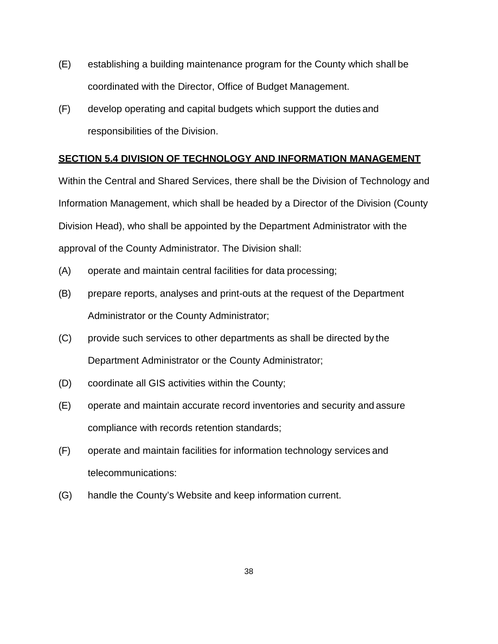- (E) establishing a building maintenance program for the County which shall be coordinated with the Director, Office of Budget Management.
- (F) develop operating and capital budgets which support the duties and responsibilities of the Division.

## **SECTION 5.4 DIVISION OF TECHNOLOGY AND INFORMATION MANAGEMENT**

Within the Central and Shared Services, there shall be the Division of Technology and Information Management, which shall be headed by a Director of the Division (County Division Head), who shall be appointed by the Department Administrator with the approval of the County Administrator. The Division shall:

- (A) operate and maintain central facilities for data processing;
- (B) prepare reports, analyses and print-outs at the request of the Department Administrator or the County Administrator;
- (C) provide such services to other departments as shall be directed by the Department Administrator or the County Administrator;
- (D) coordinate all GIS activities within the County;
- (E) operate and maintain accurate record inventories and security and assure compliance with records retention standards;
- (F) operate and maintain facilities for information technology services and telecommunications:
- (G) handle the County's Website and keep information current.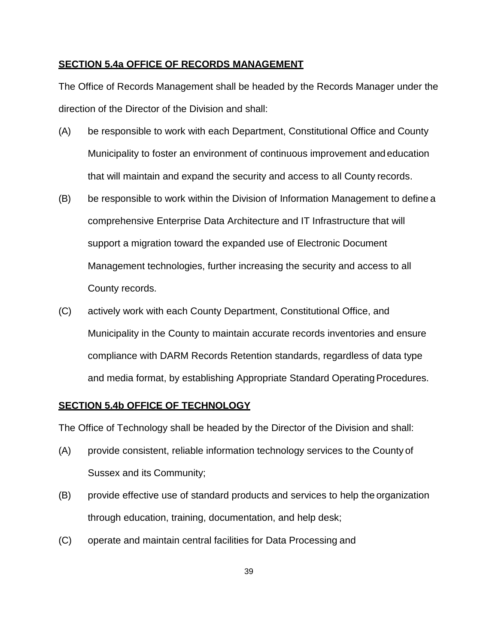### **SECTION 5.4a OFFICE OF RECORDS MANAGEMENT**

The Office of Records Management shall be headed by the Records Manager under the direction of the Director of the Division and shall:

- (A) be responsible to work with each Department, Constitutional Office and County Municipality to foster an environment of continuous improvement and education that will maintain and expand the security and access to all County records.
- (B) be responsible to work within the Division of Information Management to define a comprehensive Enterprise Data Architecture and IT Infrastructure that will support a migration toward the expanded use of Electronic Document Management technologies, further increasing the security and access to all County records.
- (C) actively work with each County Department, Constitutional Office, and Municipality in the County to maintain accurate records inventories and ensure compliance with DARM Records Retention standards, regardless of data type and media format, by establishing Appropriate Standard Operating Procedures.

## **SECTION 5.4b OFFICE OF TECHNOLOGY**

The Office of Technology shall be headed by the Director of the Division and shall:

- (A) provide consistent, reliable information technology services to the County of Sussex and its Community;
- (B) provide effective use of standard products and services to help the organization through education, training, documentation, and help desk;
- (C) operate and maintain central facilities for Data Processing and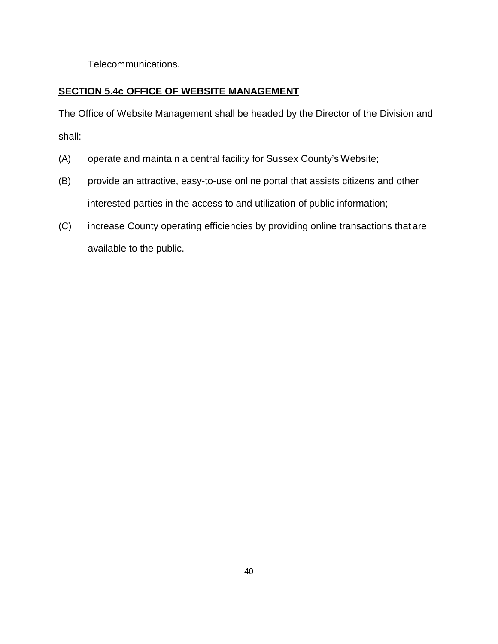Telecommunications.

# **SECTION 5.4c OFFICE OF WEBSITE MANAGEMENT**

The Office of Website Management shall be headed by the Director of the Division and shall:

- (A) operate and maintain a central facility for Sussex County's Website;
- (B) provide an attractive, easy-to-use online portal that assists citizens and other interested parties in the access to and utilization of public information;
- (C) increase County operating efficiencies by providing online transactions that are available to the public.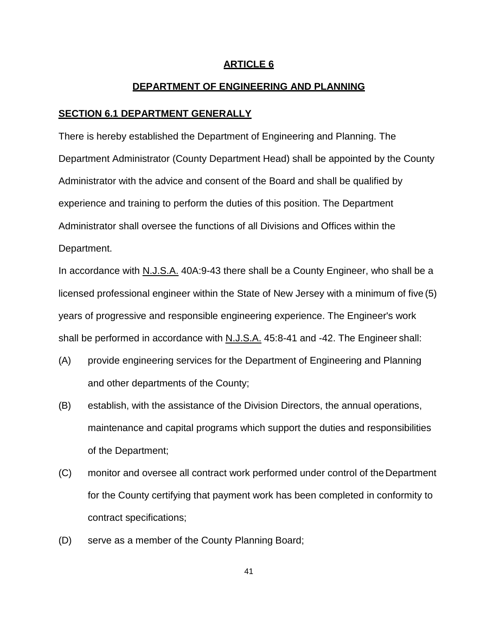#### **DEPARTMENT OF ENGINEERING AND PLANNING**

### **SECTION 6.1 DEPARTMENT GENERALLY**

There is hereby established the Department of Engineering and Planning. The Department Administrator (County Department Head) shall be appointed by the County Administrator with the advice and consent of the Board and shall be qualified by experience and training to perform the duties of this position. The Department Administrator shall oversee the functions of all Divisions and Offices within the Department.

In accordance with N.J.S.A. 40A:9-43 there shall be a County Engineer, who shall be a licensed professional engineer within the State of New Jersey with a minimum of five (5) years of progressive and responsible engineering experience. The Engineer's work shall be performed in accordance with N.J.S.A. 45:8-41 and -42. The Engineer shall:

- (A) provide engineering services for the Department of Engineering and Planning and other departments of the County;
- (B) establish, with the assistance of the Division Directors, the annual operations, maintenance and capital programs which support the duties and responsibilities of the Department;
- (C) monitor and oversee all contract work performed under control of theDepartment for the County certifying that payment work has been completed in conformity to contract specifications;
- (D) serve as a member of the County Planning Board;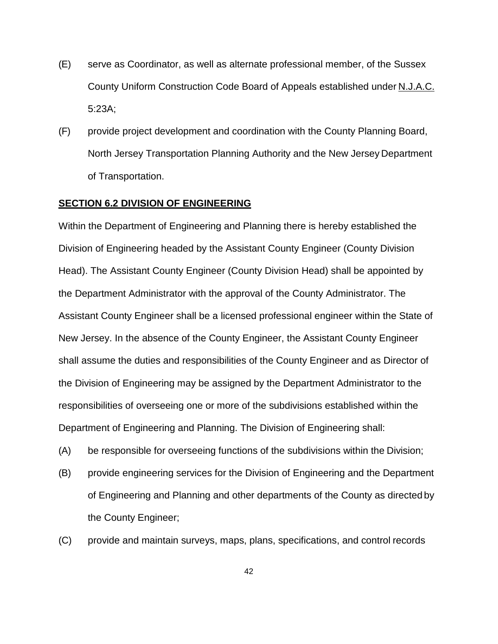- (E) serve as Coordinator, as well as alternate professional member, of the Sussex County Uniform Construction Code Board of Appeals established under N.J.A.C. 5:23A;
- (F) provide project development and coordination with the County Planning Board, North Jersey Transportation Planning Authority and the New Jersey Department of Transportation.

## **SECTION 6.2 DIVISION OF ENGINEERING**

Within the Department of Engineering and Planning there is hereby established the Division of Engineering headed by the Assistant County Engineer (County Division Head). The Assistant County Engineer (County Division Head) shall be appointed by the Department Administrator with the approval of the County Administrator. The Assistant County Engineer shall be a licensed professional engineer within the State of New Jersey. In the absence of the County Engineer, the Assistant County Engineer shall assume the duties and responsibilities of the County Engineer and as Director of the Division of Engineering may be assigned by the Department Administrator to the responsibilities of overseeing one or more of the subdivisions established within the Department of Engineering and Planning. The Division of Engineering shall:

- (A) be responsible for overseeing functions of the subdivisions within the Division;
- (B) provide engineering services for the Division of Engineering and the Department of Engineering and Planning and other departments of the County as directed by the County Engineer;
- (C) provide and maintain surveys, maps, plans, specifications, and control records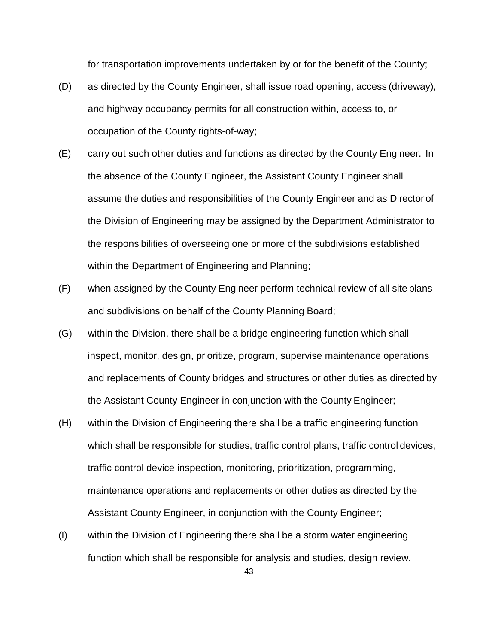for transportation improvements undertaken by or for the benefit of the County;

- (D) as directed by the County Engineer, shall issue road opening, access (driveway), and highway occupancy permits for all construction within, access to, or occupation of the County rights-of-way;
- (E) carry out such other duties and functions as directed by the County Engineer. In the absence of the County Engineer, the Assistant County Engineer shall assume the duties and responsibilities of the County Engineer and as Director of the Division of Engineering may be assigned by the Department Administrator to the responsibilities of overseeing one or more of the subdivisions established within the Department of Engineering and Planning;
- (F) when assigned by the County Engineer perform technical review of all site plans and subdivisions on behalf of the County Planning Board;
- (G) within the Division, there shall be a bridge engineering function which shall inspect, monitor, design, prioritize, program, supervise maintenance operations and replacements of County bridges and structures or other duties as directed by the Assistant County Engineer in conjunction with the County Engineer;
- (H) within the Division of Engineering there shall be a traffic engineering function which shall be responsible for studies, traffic control plans, traffic control devices, traffic control device inspection, monitoring, prioritization, programming, maintenance operations and replacements or other duties as directed by the Assistant County Engineer, in conjunction with the County Engineer;
- (I) within the Division of Engineering there shall be a storm water engineering function which shall be responsible for analysis and studies, design review,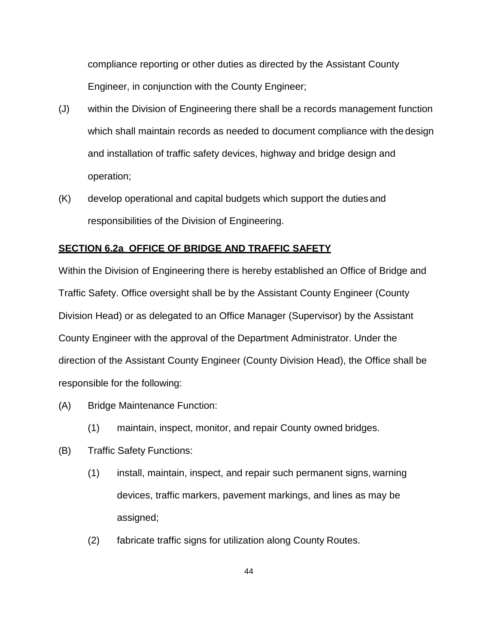compliance reporting or other duties as directed by the Assistant County Engineer, in conjunction with the County Engineer;

- (J) within the Division of Engineering there shall be a records management function which shall maintain records as needed to document compliance with the design and installation of traffic safety devices, highway and bridge design and operation;
- (K) develop operational and capital budgets which support the duties and responsibilities of the Division of Engineering.

## **SECTION 6.2a OFFICE OF BRIDGE AND TRAFFIC SAFETY**

Within the Division of Engineering there is hereby established an Office of Bridge and Traffic Safety. Office oversight shall be by the Assistant County Engineer (County Division Head) or as delegated to an Office Manager (Supervisor) by the Assistant County Engineer with the approval of the Department Administrator. Under the direction of the Assistant County Engineer (County Division Head), the Office shall be responsible for the following:

- (A) Bridge Maintenance Function:
	- (1) maintain, inspect, monitor, and repair County owned bridges.
- (B) Traffic Safety Functions:
	- (1) install, maintain, inspect, and repair such permanent signs, warning devices, traffic markers, pavement markings, and lines as may be assigned;
	- (2) fabricate traffic signs for utilization along County Routes.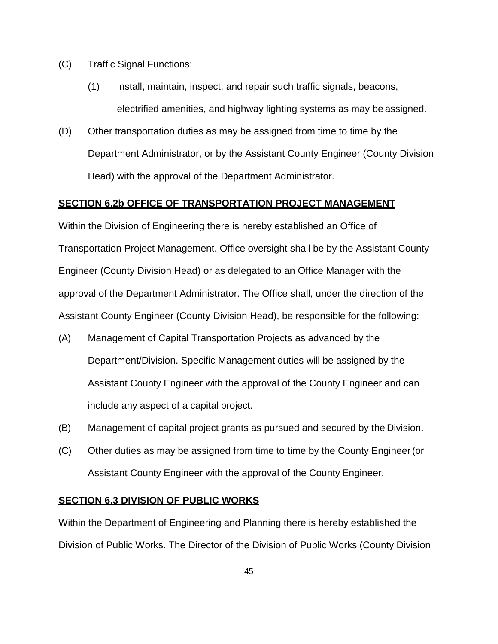- (C) Traffic Signal Functions:
	- (1) install, maintain, inspect, and repair such traffic signals, beacons, electrified amenities, and highway lighting systems as may be assigned.
- (D) Other transportation duties as may be assigned from time to time by the Department Administrator, or by the Assistant County Engineer (County Division Head) with the approval of the Department Administrator.

## **SECTION 6.2b OFFICE OF TRANSPORTATION PROJECT MANAGEMENT**

Within the Division of Engineering there is hereby established an Office of Transportation Project Management. Office oversight shall be by the Assistant County Engineer (County Division Head) or as delegated to an Office Manager with the approval of the Department Administrator. The Office shall, under the direction of the Assistant County Engineer (County Division Head), be responsible for the following:

- (A) Management of Capital Transportation Projects as advanced by the Department/Division. Specific Management duties will be assigned by the Assistant County Engineer with the approval of the County Engineer and can include any aspect of a capital project.
- (B) Management of capital project grants as pursued and secured by the Division.
- (C) Other duties as may be assigned from time to time by the County Engineer(or Assistant County Engineer with the approval of the County Engineer.

#### **SECTION 6.3 DIVISION OF PUBLIC WORKS**

Within the Department of Engineering and Planning there is hereby established the Division of Public Works. The Director of the Division of Public Works (County Division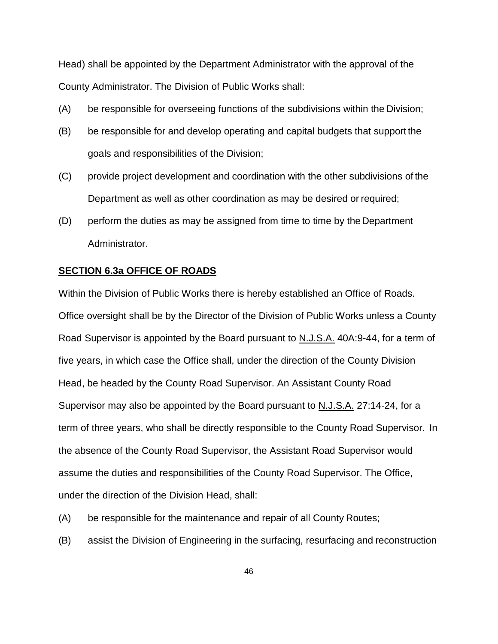Head) shall be appointed by the Department Administrator with the approval of the County Administrator. The Division of Public Works shall:

- (A) be responsible for overseeing functions of the subdivisions within the Division;
- (B) be responsible for and develop operating and capital budgets that support the goals and responsibilities of the Division;
- (C) provide project development and coordination with the other subdivisions of the Department as well as other coordination as may be desired or required;
- (D) perform the duties as may be assigned from time to time by the Department Administrator.

#### **SECTION 6.3a OFFICE OF ROADS**

Within the Division of Public Works there is hereby established an Office of Roads. Office oversight shall be by the Director of the Division of Public Works unless a County Road Supervisor is appointed by the Board pursuant to N.J.S.A. 40A:9-44, for a term of five years, in which case the Office shall, under the direction of the County Division Head, be headed by the County Road Supervisor. An Assistant County Road Supervisor may also be appointed by the Board pursuant to N.J.S.A. 27:14-24, for a term of three years, who shall be directly responsible to the County Road Supervisor. In the absence of the County Road Supervisor, the Assistant Road Supervisor would assume the duties and responsibilities of the County Road Supervisor. The Office, under the direction of the Division Head, shall:

- (A) be responsible for the maintenance and repair of all County Routes;
- (B) assist the Division of Engineering in the surfacing, resurfacing and reconstruction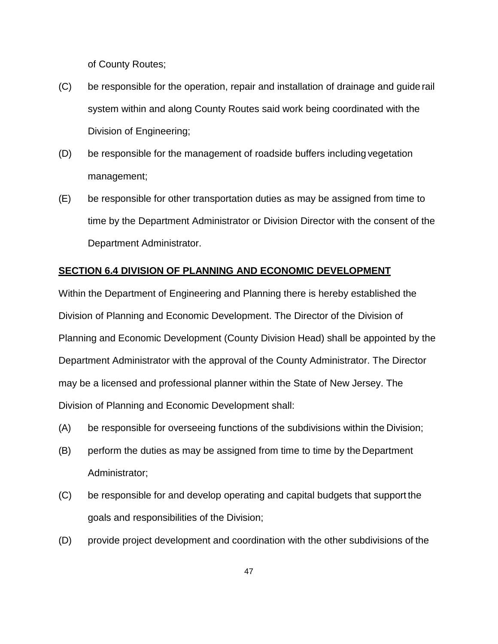of County Routes;

- (C) be responsible for the operation, repair and installation of drainage and guide rail system within and along County Routes said work being coordinated with the Division of Engineering;
- (D) be responsible for the management of roadside buffers including vegetation management;
- (E) be responsible for other transportation duties as may be assigned from time to time by the Department Administrator or Division Director with the consent of the Department Administrator.

#### **SECTION 6.4 DIVISION OF PLANNING AND ECONOMIC DEVELOPMENT**

Within the Department of Engineering and Planning there is hereby established the Division of Planning and Economic Development. The Director of the Division of Planning and Economic Development (County Division Head) shall be appointed by the Department Administrator with the approval of the County Administrator. The Director may be a licensed and professional planner within the State of New Jersey. The Division of Planning and Economic Development shall:

- (A) be responsible for overseeing functions of the subdivisions within the Division;
- (B) perform the duties as may be assigned from time to time by the Department Administrator;
- (C) be responsible for and develop operating and capital budgets that support the goals and responsibilities of the Division;
- (D) provide project development and coordination with the other subdivisions of the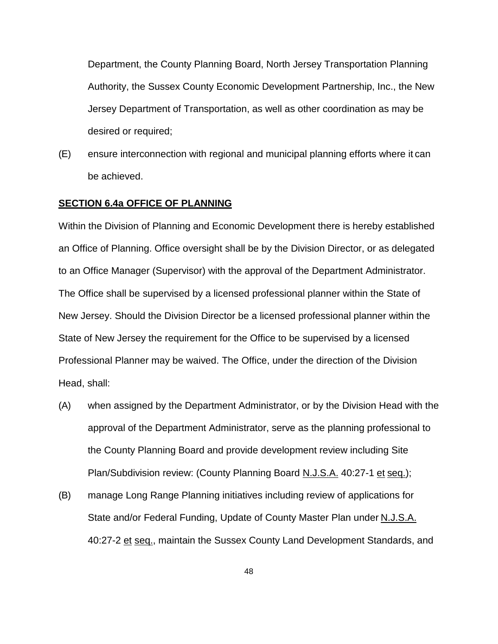Department, the County Planning Board, North Jersey Transportation Planning Authority, the Sussex County Economic Development Partnership, Inc., the New Jersey Department of Transportation, as well as other coordination as may be desired or required;

(E) ensure interconnection with regional and municipal planning efforts where it can be achieved.

## **SECTION 6.4a OFFICE OF PLANNING**

Within the Division of Planning and Economic Development there is hereby established an Office of Planning. Office oversight shall be by the Division Director, or as delegated to an Office Manager (Supervisor) with the approval of the Department Administrator. The Office shall be supervised by a licensed professional planner within the State of New Jersey. Should the Division Director be a licensed professional planner within the State of New Jersey the requirement for the Office to be supervised by a licensed Professional Planner may be waived. The Office, under the direction of the Division Head, shall:

- (A) when assigned by the Department Administrator, or by the Division Head with the approval of the Department Administrator, serve as the planning professional to the County Planning Board and provide development review including Site Plan/Subdivision review: (County Planning Board N.J.S.A. 40:27-1 et seq.);
- (B) manage Long Range Planning initiatives including review of applications for State and/or Federal Funding, Update of County Master Plan under N.J.S.A. 40:27-2 et seq., maintain the Sussex County Land Development Standards, and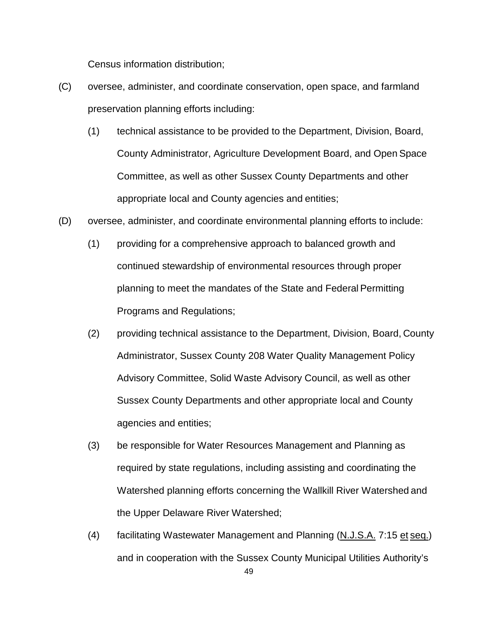Census information distribution;

- (C) oversee, administer, and coordinate conservation, open space, and farmland preservation planning efforts including:
	- (1) technical assistance to be provided to the Department, Division, Board, County Administrator, Agriculture Development Board, and Open Space Committee, as well as other Sussex County Departments and other appropriate local and County agencies and entities;
- (D) oversee, administer, and coordinate environmental planning efforts to include:
	- (1) providing for a comprehensive approach to balanced growth and continued stewardship of environmental resources through proper planning to meet the mandates of the State and Federal Permitting Programs and Regulations;
	- (2) providing technical assistance to the Department, Division, Board, County Administrator, Sussex County 208 Water Quality Management Policy Advisory Committee, Solid Waste Advisory Council, as well as other Sussex County Departments and other appropriate local and County agencies and entities;
	- (3) be responsible for Water Resources Management and Planning as required by state regulations, including assisting and coordinating the Watershed planning efforts concerning the Wallkill River Watershed and the Upper Delaware River Watershed;
	- (4) facilitating Wastewater Management and Planning (N.J.S.A. 7:15 et seq.) and in cooperation with the Sussex County Municipal Utilities Authority's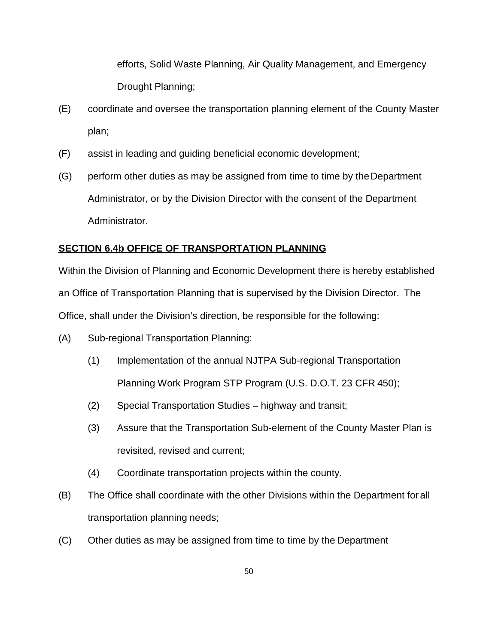efforts, Solid Waste Planning, Air Quality Management, and Emergency Drought Planning;

- (E) coordinate and oversee the transportation planning element of the County Master plan;
- (F) assist in leading and guiding beneficial economic development;
- (G) perform other duties as may be assigned from time to time by theDepartment Administrator, or by the Division Director with the consent of the Department Administrator.

## **SECTION 6.4b OFFICE OF TRANSPORTATION PLANNING**

Within the Division of Planning and Economic Development there is hereby established an Office of Transportation Planning that is supervised by the Division Director. The Office, shall under the Division's direction, be responsible for the following:

- (A) Sub-regional Transportation Planning:
	- (1) Implementation of the annual NJTPA Sub-regional Transportation Planning Work Program STP Program (U.S. D.O.T. 23 CFR 450);
	- (2) Special Transportation Studies highway and transit;
	- (3) Assure that the Transportation Sub-element of the County Master Plan is revisited, revised and current;
	- (4) Coordinate transportation projects within the county.
- (B) The Office shall coordinate with the other Divisions within the Department forall transportation planning needs;
- (C) Other duties as may be assigned from time to time by the Department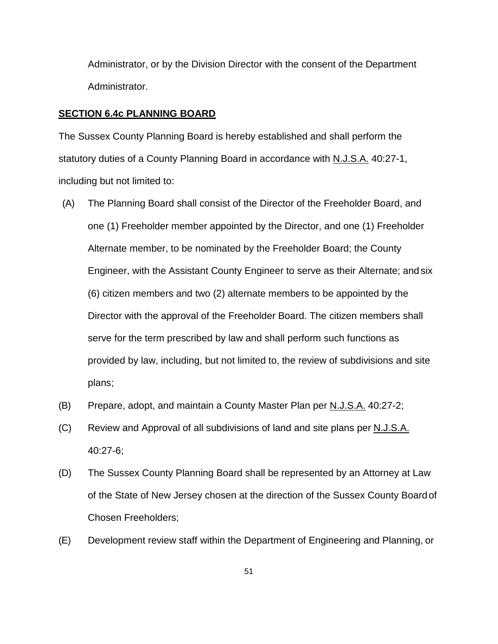Administrator, or by the Division Director with the consent of the Department Administrator.

#### **SECTION 6.4c PLANNING BOARD**

The Sussex County Planning Board is hereby established and shall perform the statutory duties of a County Planning Board in accordance with N.J.S.A. 40:27-1, including but not limited to:

- (A) The Planning Board shall consist of the Director of the Freeholder Board, and one (1) Freeholder member appointed by the Director, and one (1) Freeholder Alternate member, to be nominated by the Freeholder Board; the County Engineer, with the Assistant County Engineer to serve as their Alternate; and six (6) citizen members and two (2) alternate members to be appointed by the Director with the approval of the Freeholder Board. The citizen members shall serve for the term prescribed by law and shall perform such functions as provided by law, including, but not limited to, the review of subdivisions and site plans;
- (B) Prepare, adopt, and maintain a County Master Plan per N.J.S.A. 40:27-2;
- (C) Review and Approval of all subdivisions of land and site plans per N.J.S.A. 40:27-6;
- (D) The Sussex County Planning Board shall be represented by an Attorney at Law of the State of New Jersey chosen at the direction of the Sussex County Boardof Chosen Freeholders;
- (E) Development review staff within the Department of Engineering and Planning, or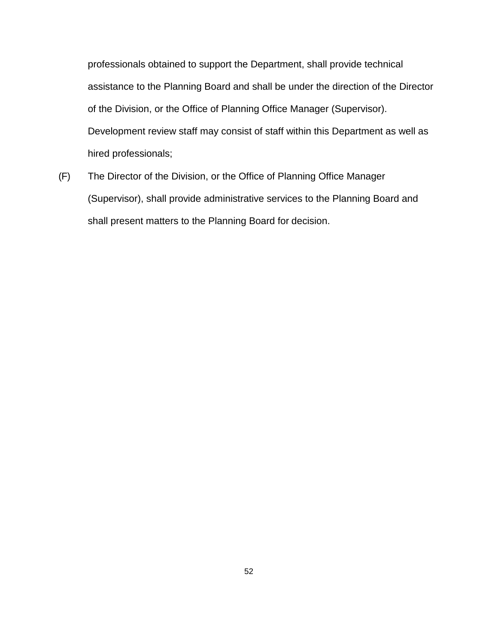professionals obtained to support the Department, shall provide technical assistance to the Planning Board and shall be under the direction of the Director of the Division, or the Office of Planning Office Manager (Supervisor). Development review staff may consist of staff within this Department as well as hired professionals;

(F) The Director of the Division, or the Office of Planning Office Manager (Supervisor), shall provide administrative services to the Planning Board and shall present matters to the Planning Board for decision.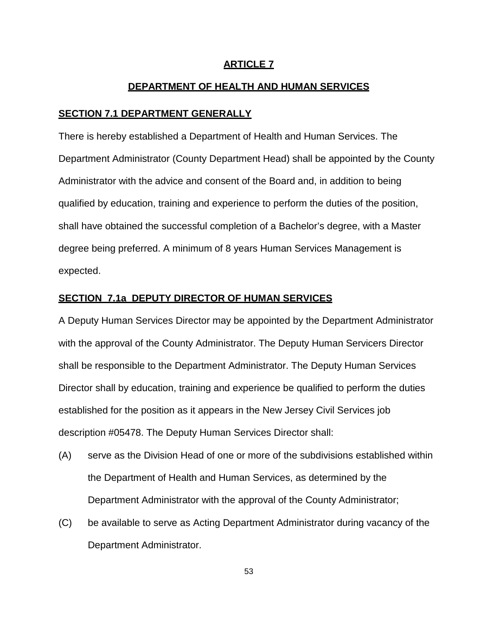## **DEPARTMENT OF HEALTH AND HUMAN SERVICES**

## **SECTION 7.1 DEPARTMENT GENERALLY**

There is hereby established a Department of Health and Human Services. The Department Administrator (County Department Head) shall be appointed by the County Administrator with the advice and consent of the Board and, in addition to being qualified by education, training and experience to perform the duties of the position, shall have obtained the successful completion of a Bachelor's degree, with a Master degree being preferred. A minimum of 8 years Human Services Management is expected.

#### **SECTION 7.1a DEPUTY DIRECTOR OF HUMAN SERVICES**

A Deputy Human Services Director may be appointed by the Department Administrator with the approval of the County Administrator. The Deputy Human Servicers Director shall be responsible to the Department Administrator. The Deputy Human Services Director shall by education, training and experience be qualified to perform the duties established for the position as it appears in the New Jersey Civil Services job description #05478. The Deputy Human Services Director shall:

- (A) serve as the Division Head of one or more of the subdivisions established within the Department of Health and Human Services, as determined by the Department Administrator with the approval of the County Administrator;
- (C) be available to serve as Acting Department Administrator during vacancy of the Department Administrator.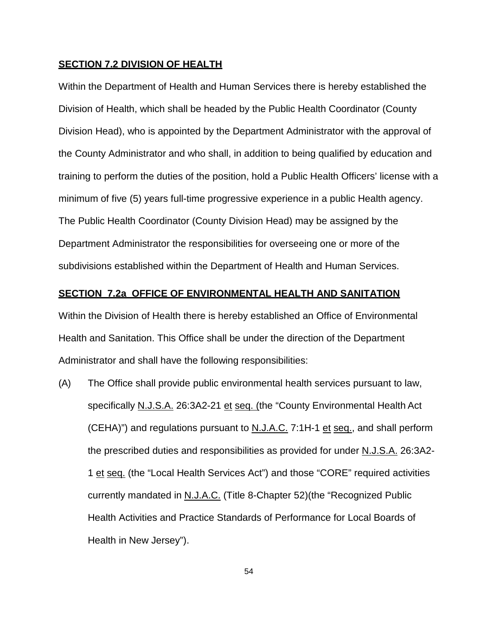## **SECTION 7.2 DIVISION OF HEALTH**

Within the Department of Health and Human Services there is hereby established the Division of Health, which shall be headed by the Public Health Coordinator (County Division Head), who is appointed by the Department Administrator with the approval of the County Administrator and who shall, in addition to being qualified by education and training to perform the duties of the position, hold a Public Health Officers' license with a minimum of five (5) years full-time progressive experience in a public Health agency. The Public Health Coordinator (County Division Head) may be assigned by the Department Administrator the responsibilities for overseeing one or more of the subdivisions established within the Department of Health and Human Services.

#### **SECTION 7.2a OFFICE OF ENVIRONMENTAL HEALTH AND SANITATION**

Within the Division of Health there is hereby established an Office of Environmental Health and Sanitation. This Office shall be under the direction of the Department Administrator and shall have the following responsibilities:

(A) The Office shall provide public environmental health services pursuant to law, specifically N.J.S.A. 26:3A2-21 et seq. (the "County Environmental Health Act (CEHA)") and regulations pursuant to N.J.A.C. 7:1H-1 et seq., and shall perform the prescribed duties and responsibilities as provided for under N.J.S.A. 26:3A2- 1 et seq. (the "Local Health Services Act") and those "CORE" required activities currently mandated in N.J.A.C. (Title 8-Chapter 52) (the "Recognized Public Health Activities and Practice Standards of Performance for Local Boards of Health in New Jersey").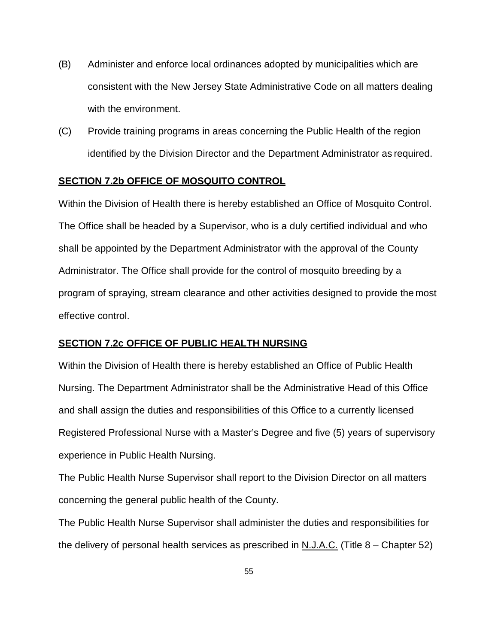- (B) Administer and enforce local ordinances adopted by municipalities which are consistent with the New Jersey State Administrative Code on all matters dealing with the environment.
- (C) Provide training programs in areas concerning the Public Health of the region identified by the Division Director and the Department Administrator as required.

## **SECTION 7.2b OFFICE OF MOSQUITO CONTROL**

Within the Division of Health there is hereby established an Office of Mosquito Control. The Office shall be headed by a Supervisor, who is a duly certified individual and who shall be appointed by the Department Administrator with the approval of the County Administrator. The Office shall provide for the control of mosquito breeding by a program of spraying, stream clearance and other activities designed to provide the most effective control.

#### **SECTION 7.2c OFFICE OF PUBLIC HEALTH NURSING**

Within the Division of Health there is hereby established an Office of Public Health Nursing. The Department Administrator shall be the Administrative Head of this Office and shall assign the duties and responsibilities of this Office to a currently licensed Registered Professional Nurse with a Master's Degree and five (5) years of supervisory experience in Public Health Nursing.

The Public Health Nurse Supervisor shall report to the Division Director on all matters concerning the general public health of the County.

The Public Health Nurse Supervisor shall administer the duties and responsibilities for the delivery of personal health services as prescribed in  $N.L.A.C.$  (Title  $8 - Chapter 52$ )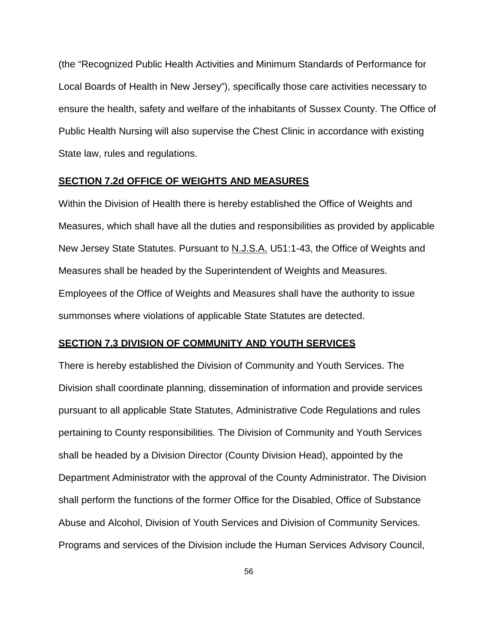(the "Recognized Public Health Activities and Minimum Standards of Performance for Local Boards of Health in New Jersey"), specifically those care activities necessary to ensure the health, safety and welfare of the inhabitants of Sussex County. The Office of Public Health Nursing will also supervise the Chest Clinic in accordance with existing State law, rules and regulations.

#### **SECTION 7.2d OFFICE OF WEIGHTS AND MEASURES**

Within the Division of Health there is hereby established the Office of Weights and Measures, which shall have all the duties and responsibilities as provided by applicable New Jersey State Statutes. Pursuant to N.J.S.A. U51:1-43, the Office of Weights and Measures shall be headed by the Superintendent of Weights and Measures. Employees of the Office of Weights and Measures shall have the authority to issue summonses where violations of applicable State Statutes are detected.

#### **SECTION 7.3 DIVISION OF COMMUNITY AND YOUTH SERVICES**

There is hereby established the Division of Community and Youth Services. The Division shall coordinate planning, dissemination of information and provide services pursuant to all applicable State Statutes, Administrative Code Regulations and rules pertaining to County responsibilities. The Division of Community and Youth Services shall be headed by a Division Director (County Division Head), appointed by the Department Administrator with the approval of the County Administrator. The Division shall perform the functions of the former Office for the Disabled, Office of Substance Abuse and Alcohol, Division of Youth Services and Division of Community Services. Programs and services of the Division include the Human Services Advisory Council,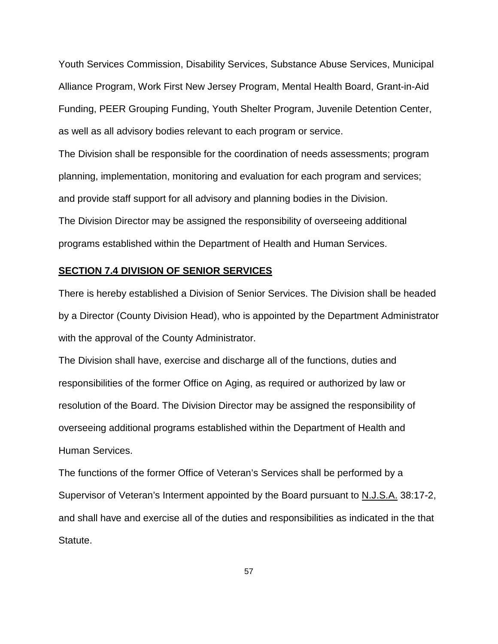Youth Services Commission, Disability Services, Substance Abuse Services, Municipal Alliance Program, Work First New Jersey Program, Mental Health Board, Grant-in-Aid Funding, PEER Grouping Funding, Youth Shelter Program, Juvenile Detention Center, as well as all advisory bodies relevant to each program or service.

The Division shall be responsible for the coordination of needs assessments; program planning, implementation, monitoring and evaluation for each program and services; and provide staff support for all advisory and planning bodies in the Division. The Division Director may be assigned the responsibility of overseeing additional programs established within the Department of Health and Human Services.

#### **SECTION 7.4 DIVISION OF SENIOR SERVICES**

There is hereby established a Division of Senior Services. The Division shall be headed by a Director (County Division Head), who is appointed by the Department Administrator with the approval of the County Administrator.

The Division shall have, exercise and discharge all of the functions, duties and responsibilities of the former Office on Aging, as required or authorized by law or resolution of the Board. The Division Director may be assigned the responsibility of overseeing additional programs established within the Department of Health and Human Services.

The functions of the former Office of Veteran's Services shall be performed by a Supervisor of Veteran's Interment appointed by the Board pursuant to N.J.S.A. 38:17-2, and shall have and exercise all of the duties and responsibilities as indicated in the that Statute.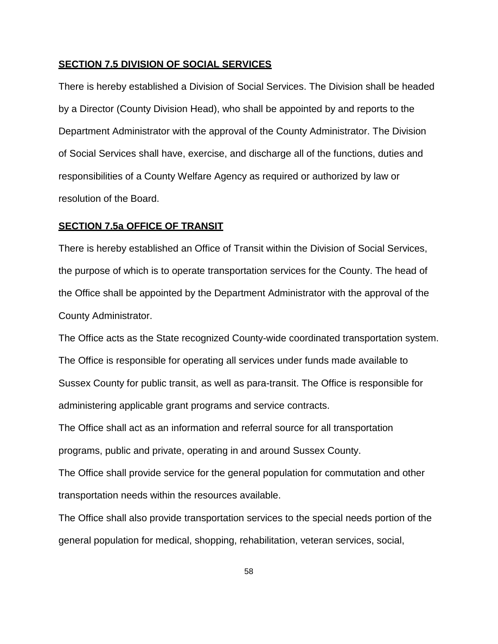### **SECTION 7.5 DIVISION OF SOCIAL SERVICES**

There is hereby established a Division of Social Services. The Division shall be headed by a Director (County Division Head), who shall be appointed by and reports to the Department Administrator with the approval of the County Administrator. The Division of Social Services shall have, exercise, and discharge all of the functions, duties and responsibilities of a County Welfare Agency as required or authorized by law or resolution of the Board.

#### **SECTION 7.5a OFFICE OF TRANSIT**

There is hereby established an Office of Transit within the Division of Social Services, the purpose of which is to operate transportation services for the County. The head of the Office shall be appointed by the Department Administrator with the approval of the County Administrator.

The Office acts as the State recognized County-wide coordinated transportation system. The Office is responsible for operating all services under funds made available to Sussex County for public transit, as well as para-transit. The Office is responsible for administering applicable grant programs and service contracts.

The Office shall act as an information and referral source for all transportation programs, public and private, operating in and around Sussex County.

The Office shall provide service for the general population for commutation and other transportation needs within the resources available.

The Office shall also provide transportation services to the special needs portion of the general population for medical, shopping, rehabilitation, veteran services, social,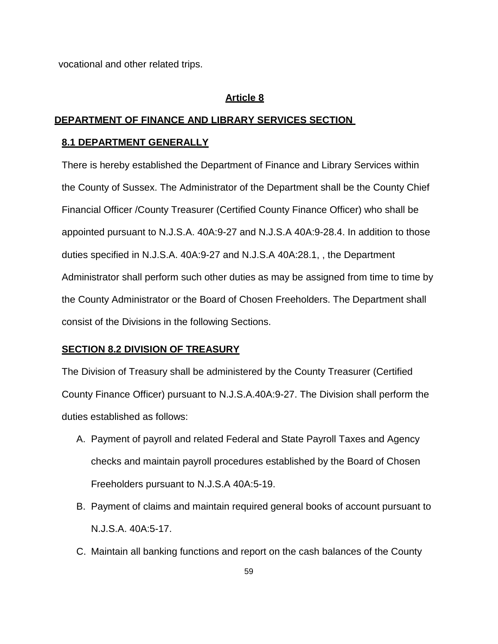vocational and other related trips.

#### **Article 8**

#### **DEPARTMENT OF FINANCE AND LIBRARY SERVICES SECTION**

#### **8.1 DEPARTMENT GENERALLY**

There is hereby established the Department of Finance and Library Services within the County of Sussex. The Administrator of the Department shall be the County Chief Financial Officer /County Treasurer (Certified County Finance Officer) who shall be appointed pursuant to N.J.S.A. 40A:9-27 and N.J.S.A 40A:9-28.4. In addition to those duties specified in N.J.S.A. 40A:9-27 and N.J.S.A 40A:28.1, , the Department Administrator shall perform such other duties as may be assigned from time to time by the County Administrator or the Board of Chosen Freeholders. The Department shall consist of the Divisions in the following Sections.

#### **SECTION 8.2 DIVISION OF TREASURY**

The Division of Treasury shall be administered by the County Treasurer (Certified County Finance Officer) pursuant to N.J.S.A.40A:9-27. The Division shall perform the duties established as follows:

- A. Payment of payroll and related Federal and State Payroll Taxes and Agency checks and maintain payroll procedures established by the Board of Chosen Freeholders pursuant to N.J.S.A 40A:5-19.
- B. Payment of claims and maintain required general books of account pursuant to N.J.S.A. 40A:5-17.
- C. Maintain all banking functions and report on the cash balances of the County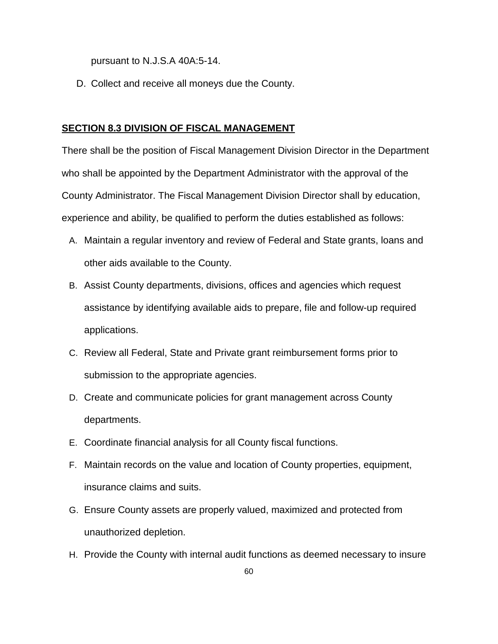pursuant to N.J.S.A 40A:5-14.

D. Collect and receive all moneys due the County.

# **SECTION 8.3 DIVISION OF FISCAL MANAGEMENT**

There shall be the position of Fiscal Management Division Director in the Department who shall be appointed by the Department Administrator with the approval of the County Administrator. The Fiscal Management Division Director shall by education, experience and ability, be qualified to perform the duties established as follows:

- A. Maintain a regular inventory and review of Federal and State grants, loans and other aids available to the County.
- B. Assist County departments, divisions, offices and agencies which request assistance by identifying available aids to prepare, file and follow-up required applications.
- C. Review all Federal, State and Private grant reimbursement forms prior to submission to the appropriate agencies.
- D. Create and communicate policies for grant management across County departments.
- E. Coordinate financial analysis for all County fiscal functions.
- F. Maintain records on the value and location of County properties, equipment, insurance claims and suits.
- G. Ensure County assets are properly valued, maximized and protected from unauthorized depletion.
- H. Provide the County with internal audit functions as deemed necessary to insure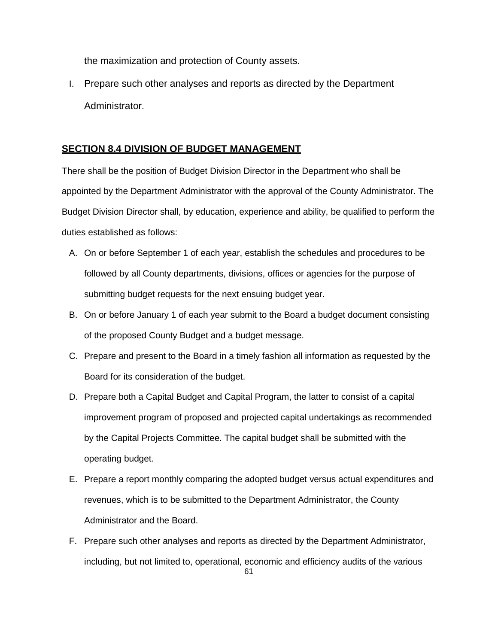the maximization and protection of County assets.

I. Prepare such other analyses and reports as directed by the Department Administrator.

### **SECTION 8.4 DIVISION OF BUDGET MANAGEMENT**

There shall be the position of Budget Division Director in the Department who shall be appointed by the Department Administrator with the approval of the County Administrator. The Budget Division Director shall, by education, experience and ability, be qualified to perform the duties established as follows:

- A. On or before September 1 of each year, establish the schedules and procedures to be followed by all County departments, divisions, offices or agencies for the purpose of submitting budget requests for the next ensuing budget year.
- B. On or before January 1 of each year submit to the Board a budget document consisting of the proposed County Budget and a budget message.
- C. Prepare and present to the Board in a timely fashion all information as requested by the Board for its consideration of the budget.
- D. Prepare both a Capital Budget and Capital Program, the latter to consist of a capital improvement program of proposed and projected capital undertakings as recommended by the Capital Projects Committee. The capital budget shall be submitted with the operating budget.
- E. Prepare a report monthly comparing the adopted budget versus actual expenditures and revenues, which is to be submitted to the Department Administrator, the County Administrator and the Board.
- F. Prepare such other analyses and reports as directed by the Department Administrator, including, but not limited to, operational, economic and efficiency audits of the various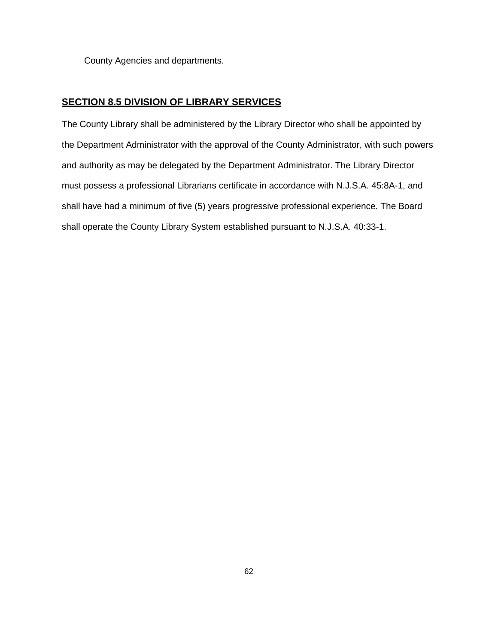County Agencies and departments.

## **SECTION 8.5 DIVISION OF LIBRARY SERVICES**

The County Library shall be administered by the Library Director who shall be appointed by the Department Administrator with the approval of the County Administrator, with such powers and authority as may be delegated by the Department Administrator. The Library Director must possess a professional Librarians certificate in accordance with N.J.S.A. 45:8A-1, and shall have had a minimum of five (5) years progressive professional experience. The Board shall operate the County Library System established pursuant to N.J.S.A. 40:33-1.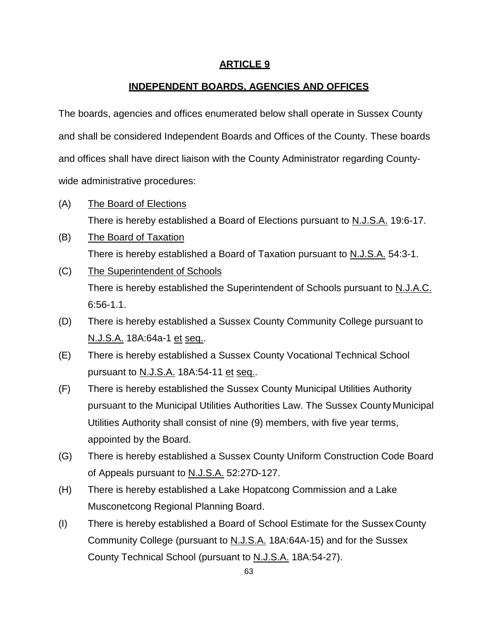## **INDEPENDENT BOARDS, AGENCIES AND OFFICES**

The boards, agencies and offices enumerated below shall operate in Sussex County and shall be considered Independent Boards and Offices of the County. These boards and offices shall have direct liaison with the County Administrator regarding Countywide administrative procedures:

- (A) The Board of Elections There is hereby established a Board of Elections pursuant to N.J.S.A. 19:6-17.
- (B) The Board of Taxation There is hereby established a Board of Taxation pursuant to N.J.S.A. 54:3-1.
- (C) The Superintendent of Schools There is hereby established the Superintendent of Schools pursuant to N.J.A.C. 6:56-1.1.
- (D) There is hereby established a Sussex County Community College pursuant to N.J.S.A. 18A:64a-1 et seq..
- (E) There is hereby established a Sussex County Vocational Technical School pursuant to N.J.S.A. 18A:54-11 et seq..
- (F) There is hereby established the Sussex County Municipal Utilities Authority pursuant to the Municipal Utilities Authorities Law. The Sussex County Municipal Utilities Authority shall consist of nine (9) members, with five year terms, appointed by the Board.
- (G) There is hereby established a Sussex County Uniform Construction Code Board of Appeals pursuant to N.J.S.A. 52:27D-127.
- (H) There is hereby established a Lake Hopatcong Commission and a Lake Musconetcong Regional Planning Board.
- (I) There is hereby established a Board of School Estimate for the Sussex County Community College (pursuant to N.J.S.A. 18A:64A-15) and for the Sussex County Technical School (pursuant to N.J.S.A. 18A:54-27).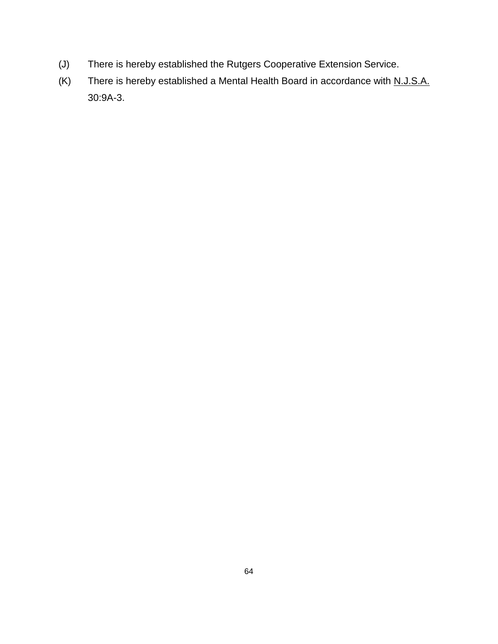- (J) There is hereby established the Rutgers Cooperative Extension Service.
- $(K)$  There is hereby established a Mental Health Board in accordance with N.J.S.A. 30:9A-3.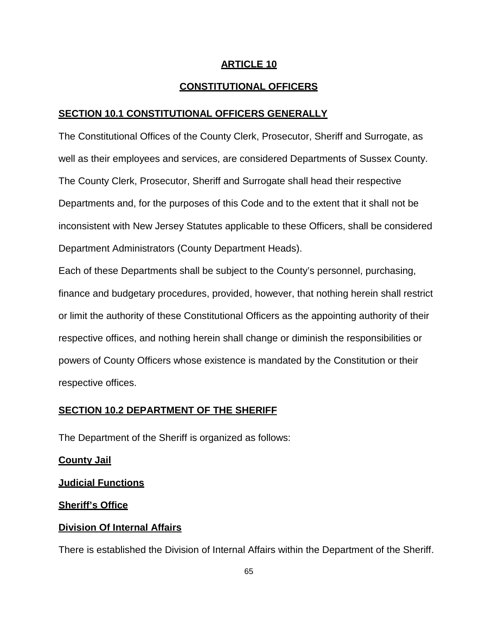## **CONSTITUTIONAL OFFICERS**

## **SECTION 10.1 CONSTITUTIONAL OFFICERS GENERALLY**

The Constitutional Offices of the County Clerk, Prosecutor, Sheriff and Surrogate, as well as their employees and services, are considered Departments of Sussex County. The County Clerk, Prosecutor, Sheriff and Surrogate shall head their respective Departments and, for the purposes of this Code and to the extent that it shall not be inconsistent with New Jersey Statutes applicable to these Officers, shall be considered Department Administrators (County Department Heads).

Each of these Departments shall be subject to the County's personnel, purchasing, finance and budgetary procedures, provided, however, that nothing herein shall restrict or limit the authority of these Constitutional Officers as the appointing authority of their respective offices, and nothing herein shall change or diminish the responsibilities or powers of County Officers whose existence is mandated by the Constitution or their respective offices.

## **SECTION 10.2 DEPARTMENT OF THE SHERIFF**

The Department of the Sheriff is organized as follows:

**County Jail**

**Judicial Functions**

**Sheriff's Office**

## **Division Of Internal Affairs**

There is established the Division of Internal Affairs within the Department of the Sheriff.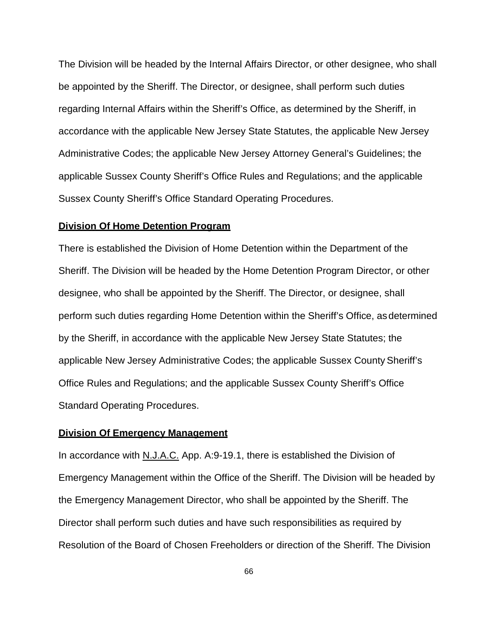The Division will be headed by the Internal Affairs Director, or other designee, who shall be appointed by the Sheriff. The Director, or designee, shall perform such duties regarding Internal Affairs within the Sheriff's Office, as determined by the Sheriff, in accordance with the applicable New Jersey State Statutes, the applicable New Jersey Administrative Codes; the applicable New Jersey Attorney General's Guidelines; the applicable Sussex County Sheriff's Office Rules and Regulations; and the applicable Sussex County Sheriff's Office Standard Operating Procedures.

#### **Division Of Home Detention Program**

There is established the Division of Home Detention within the Department of the Sheriff. The Division will be headed by the Home Detention Program Director, or other designee, who shall be appointed by the Sheriff. The Director, or designee, shall perform such duties regarding Home Detention within the Sheriff's Office, asdetermined by the Sheriff, in accordance with the applicable New Jersey State Statutes; the applicable New Jersey Administrative Codes; the applicable Sussex County Sheriff's Office Rules and Regulations; and the applicable Sussex County Sheriff's Office Standard Operating Procedures.

#### **Division Of Emergency Management**

In accordance with N.J.A.C. App. A:9-19.1, there is established the Division of Emergency Management within the Office of the Sheriff. The Division will be headed by the Emergency Management Director, who shall be appointed by the Sheriff. The Director shall perform such duties and have such responsibilities as required by Resolution of the Board of Chosen Freeholders or direction of the Sheriff. The Division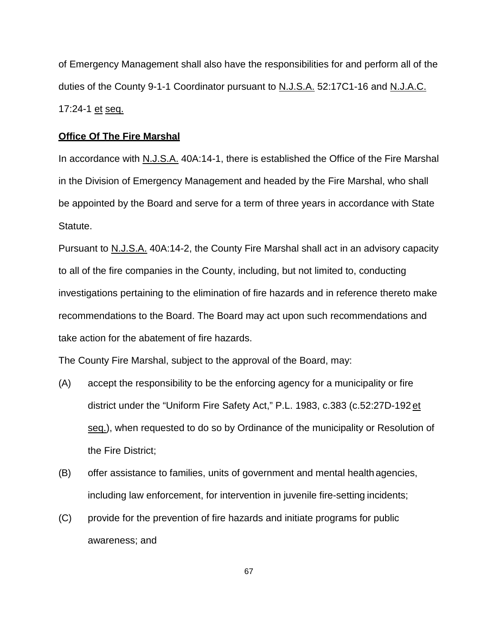of Emergency Management shall also have the responsibilities for and perform all of the duties of the County 9-1-1 Coordinator pursuant to N.J.S.A. 52:17C1-16 and N.J.A.C. 17:24-1 et seq.

#### **Office Of The Fire Marshal**

In accordance with N.J.S.A. 40A:14-1, there is established the Office of the Fire Marshal in the Division of Emergency Management and headed by the Fire Marshal, who shall be appointed by the Board and serve for a term of three years in accordance with State Statute.

Pursuant to N.J.S.A. 40A:14-2, the County Fire Marshal shall act in an advisory capacity to all of the fire companies in the County, including, but not limited to, conducting investigations pertaining to the elimination of fire hazards and in reference thereto make recommendations to the Board. The Board may act upon such recommendations and take action for the abatement of fire hazards.

The County Fire Marshal, subject to the approval of the Board, may:

- (A) accept the responsibility to be the enforcing agency for a municipality or fire district under the "Uniform Fire Safety Act," P.L. 1983, c.383 (c.52:27D-192 et seq.), when requested to do so by Ordinance of the municipality or Resolution of the Fire District;
- (B) offer assistance to families, units of government and mental health agencies, including law enforcement, for intervention in juvenile fire-setting incidents;
- (C) provide for the prevention of fire hazards and initiate programs for public awareness; and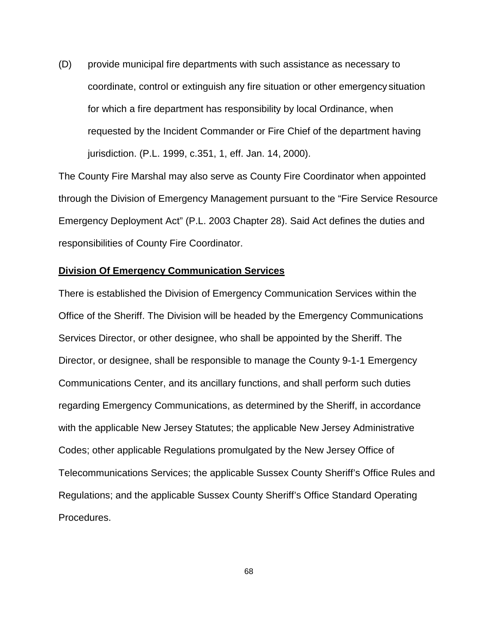(D) provide municipal fire departments with such assistance as necessary to coordinate, control or extinguish any fire situation or other emergency situation for which a fire department has responsibility by local Ordinance, when requested by the Incident Commander or Fire Chief of the department having jurisdiction. (P.L. 1999, c.351, 1, eff. Jan. 14, 2000).

The County Fire Marshal may also serve as County Fire Coordinator when appointed through the Division of Emergency Management pursuant to the "Fire Service Resource Emergency Deployment Act" (P.L. 2003 Chapter 28). Said Act defines the duties and responsibilities of County Fire Coordinator.

#### **Division Of Emergency Communication Services**

There is established the Division of Emergency Communication Services within the Office of the Sheriff. The Division will be headed by the Emergency Communications Services Director, or other designee, who shall be appointed by the Sheriff. The Director, or designee, shall be responsible to manage the County 9-1-1 Emergency Communications Center, and its ancillary functions, and shall perform such duties regarding Emergency Communications, as determined by the Sheriff, in accordance with the applicable New Jersey Statutes; the applicable New Jersey Administrative Codes; other applicable Regulations promulgated by the New Jersey Office of Telecommunications Services; the applicable Sussex County Sheriff's Office Rules and Regulations; and the applicable Sussex County Sheriff's Office Standard Operating Procedures.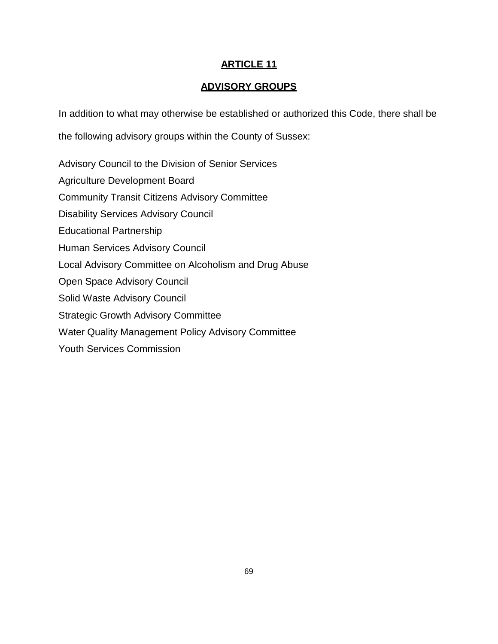# **ADVISORY GROUPS**

In addition to what may otherwise be established or authorized this Code, there shall be

the following advisory groups within the County of Sussex:

Advisory Council to the Division of Senior Services Agriculture Development Board Community Transit Citizens Advisory Committee Disability Services Advisory Council Educational Partnership Human Services Advisory Council Local Advisory Committee on Alcoholism and Drug Abuse Open Space Advisory Council Solid Waste Advisory Council Strategic Growth Advisory Committee Water Quality Management Policy Advisory Committee Youth Services Commission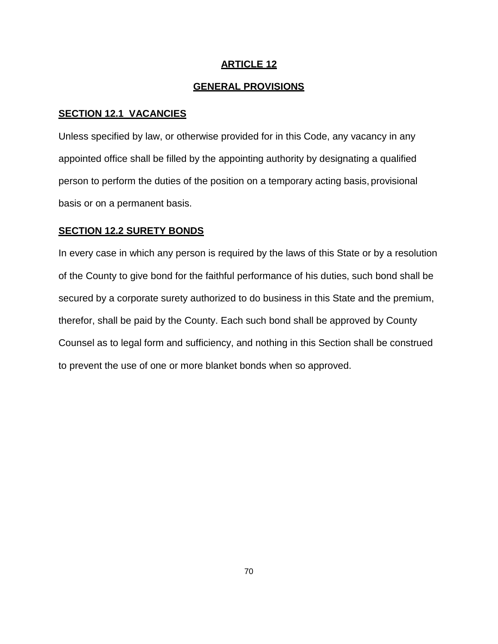## **GENERAL PROVISIONS**

## **SECTION 12.1 VACANCIES**

Unless specified by law, or otherwise provided for in this Code, any vacancy in any appointed office shall be filled by the appointing authority by designating a qualified person to perform the duties of the position on a temporary acting basis, provisional basis or on a permanent basis.

## **SECTION 12.2 SURETY BONDS**

In every case in which any person is required by the laws of this State or by a resolution of the County to give bond for the faithful performance of his duties, such bond shall be secured by a corporate surety authorized to do business in this State and the premium, therefor, shall be paid by the County. Each such bond shall be approved by County Counsel as to legal form and sufficiency, and nothing in this Section shall be construed to prevent the use of one or more blanket bonds when so approved.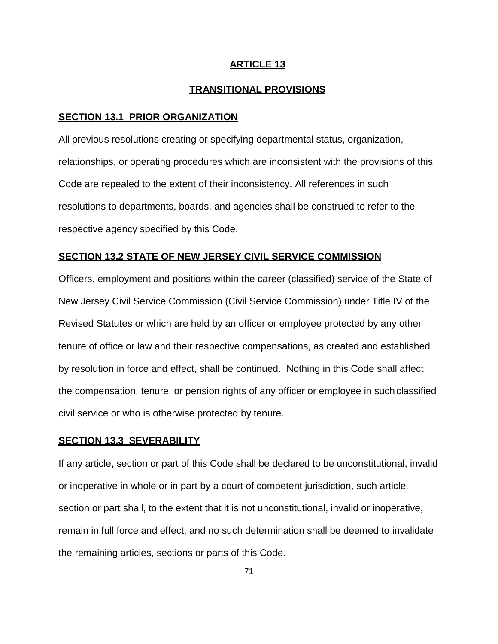## **TRANSITIONAL PROVISIONS**

#### **SECTION 13.1 PRIOR ORGANIZATION**

All previous resolutions creating or specifying departmental status, organization, relationships, or operating procedures which are inconsistent with the provisions of this Code are repealed to the extent of their inconsistency. All references in such resolutions to departments, boards, and agencies shall be construed to refer to the respective agency specified by this Code.

### **SECTION 13.2 STATE OF NEW JERSEY CIVIL SERVICE COMMISSION**

Officers, employment and positions within the career (classified) service of the State of New Jersey Civil Service Commission (Civil Service Commission) under Title IV of the Revised Statutes or which are held by an officer or employee protected by any other tenure of office or law and their respective compensations, as created and established by resolution in force and effect, shall be continued. Nothing in this Code shall affect the compensation, tenure, or pension rights of any officer or employee in such classified civil service or who is otherwise protected by tenure.

#### **SECTION 13.3 SEVERABILITY**

If any article, section or part of this Code shall be declared to be unconstitutional, invalid or inoperative in whole or in part by a court of competent jurisdiction, such article, section or part shall, to the extent that it is not unconstitutional, invalid or inoperative, remain in full force and effect, and no such determination shall be deemed to invalidate the remaining articles, sections or parts of this Code.